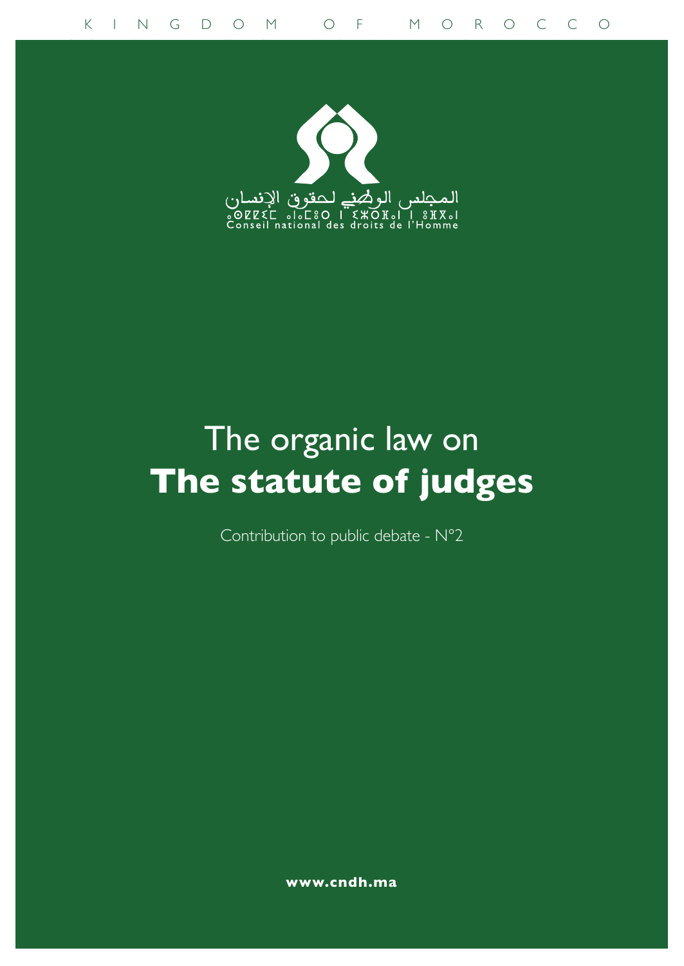

# The organic law on **The statute of judges**

Contribution to public debate - N°2

**www.cndh.ma**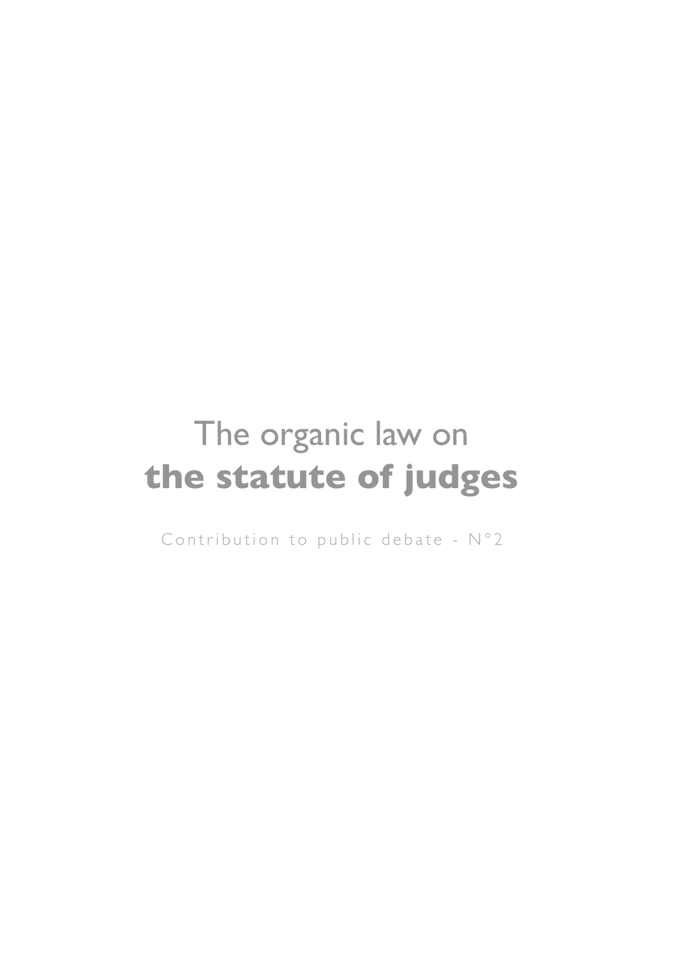# The organic law on **the statute of judges**

Contribution to public debate - N°2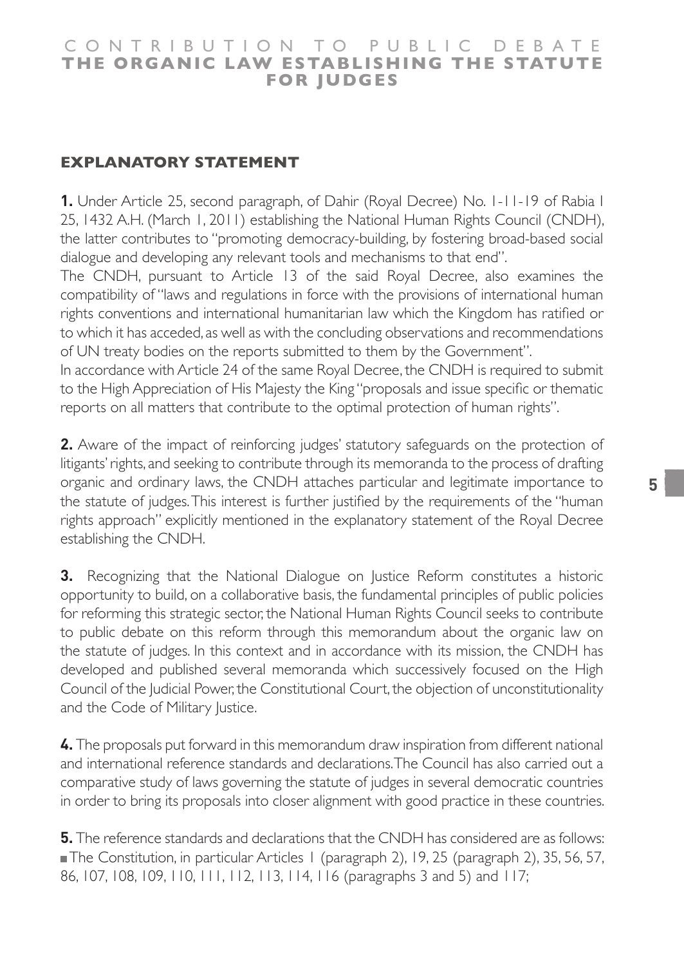#### **Explanatory statement**

**1.** Under Article 25, second paragraph, of Dahir (Royal Decree) No. 1-11-19 of Rabia I 25, 1432 A.H. (March 1, 2011) establishing the National Human Rights Council (CNDH), the latter contributes to "promoting democracy-building, by fostering broad-based social dialogue and developing any relevant tools and mechanisms to that end".

The CNDH, pursuant to Article 13 of the said Royal Decree, also examines the compatibility of "laws and regulations in force with the provisions of international human rights conventions and international humanitarian law which the Kingdom has ratified or to which it has acceded, as well as with the concluding observations and recommendations of UN treaty bodies on the reports submitted to them by the Government".

In accordance with Article 24 of the same Royal Decree, the CNDH is required to submit to the High Appreciation of His Majesty the King "proposals and issue specific or thematic reports on all matters that contribute to the optimal protection of human rights".

**2.** Aware of the impact of reinforcing judges' statutory safeguards on the protection of litigants' rights, and seeking to contribute through its memoranda to the process of drafting organic and ordinary laws, the CNDH attaches particular and legitimate importance to the statute of judges. This interest is further justified by the requirements of the "human rights approach" explicitly mentioned in the explanatory statement of the Royal Decree establishing the CNDH.

**3.** Recognizing that the National Dialogue on Justice Reform constitutes a historic opportunity to build, on a collaborative basis, the fundamental principles of public policies for reforming this strategic sector, the National Human Rights Council seeks to contribute to public debate on this reform through this memorandum about the organic law on the statute of judges. In this context and in accordance with its mission, the CNDH has developed and published several memoranda which successively focused on the High Council of the Judicial Power, the Constitutional Court, the objection of unconstitutionality and the Code of Military Justice.

**4.** The proposals put forward in this memorandum draw inspiration from different national and international reference standards and declarations. The Council has also carried out a comparative study of laws governing the statute of judges in several democratic countries in order to bring its proposals into closer alignment with good practice in these countries.

**5.** The reference standards and declarations that the CNDH has considered are as follows: The Constitution, in particular Articles 1 (paragraph 2), 19, 25 (paragraph 2), 35, 56, 57, 86, 107, 108, 109, 110, 111, 112, 113, 114, 116 (paragraphs 3 and 5) and 117;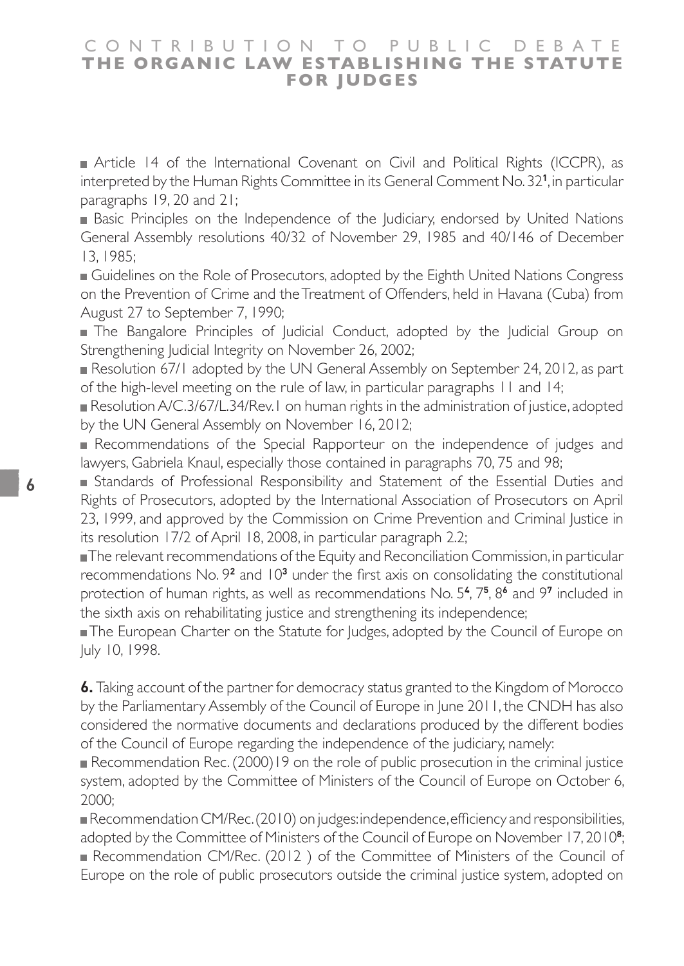Article 14 of the International Covenant on Civil and Political Rights (ICCPR), as interpreted by the Human Rights Committee in its General Comment No. 32**<sup>1</sup>** , in particular paragraphs 19, 20 and 21;

**Basic Principles on the Independence of the Judiciary, endorsed by United Nations** General Assembly resolutions 40/32 of November 29, 1985 and 40/146 of December 13, 1985;

Guidelines on the Role of Prosecutors, adopted by the Eighth United Nations Congress on the Prevention of Crime and the Treatment of Offenders, held in Havana (Cuba) from August 27 to September 7, 1990;

 The Bangalore Principles of Judicial Conduct, adopted by the Judicial Group on Strengthening Judicial Integrity on November 26, 2002;

 Resolution 67/1 adopted by the UN General Assembly on September 24, 2012, as part of the high-level meeting on the rule of law, in particular paragraphs 11 and 14;

Resolution A/C.3/67/L.34/Rev.1 on human rights in the administration of justice, adopted by the UN General Assembly on November 16, 2012;

Recommendations of the Special Rapporteur on the independence of judges and lawyers, Gabriela Knaul, especially those contained in paragraphs 70, 75 and 98;

 Standards of Professional Responsibility and Statement of the Essential Duties and Rights of Prosecutors, adopted by the International Association of Prosecutors on April 23, 1999, and approved by the Commission on Crime Prevention and Criminal Justice in its resolution 17/2 of April 18, 2008, in particular paragraph 2.2;

The relevant recommendations of the Equity and Reconciliation Commission, in particular recommendations No. 9<sup>2</sup> and 10<sup>3</sup> under the first axis on consolidating the constitutional protection of human rights, as well as recommendations No. 5**<sup>4</sup>** , 7**<sup>5</sup>** , 8**<sup>6</sup>** and 9**<sup>7</sup>** included in the sixth axis on rehabilitating justice and strengthening its independence;

The European Charter on the Statute for Judges, adopted by the Council of Europe on July 10, 1998.

**6.** Taking account of the partner for democracy status granted to the Kingdom of Morocco by the Parliamentary Assembly of the Council of Europe in June 2011, the CNDH has also considered the normative documents and declarations produced by the different bodies of the Council of Europe regarding the independence of the judiciary, namely:

Recommendation Rec. (2000)19 on the role of public prosecution in the criminal justice system, adopted by the Committee of Ministers of the Council of Europe on October 6, 2000;

 Recommendation CM/Rec. (2010) on judges: independence, efficiency and responsibilities, adopted by the Committee of Ministers of the Council of Europe on November 17, 2010**<sup>8</sup>** ; Recommendation CM/Rec. (2012) of the Committee of Ministers of the Council of Europe on the role of public prosecutors outside the criminal justice system, adopted on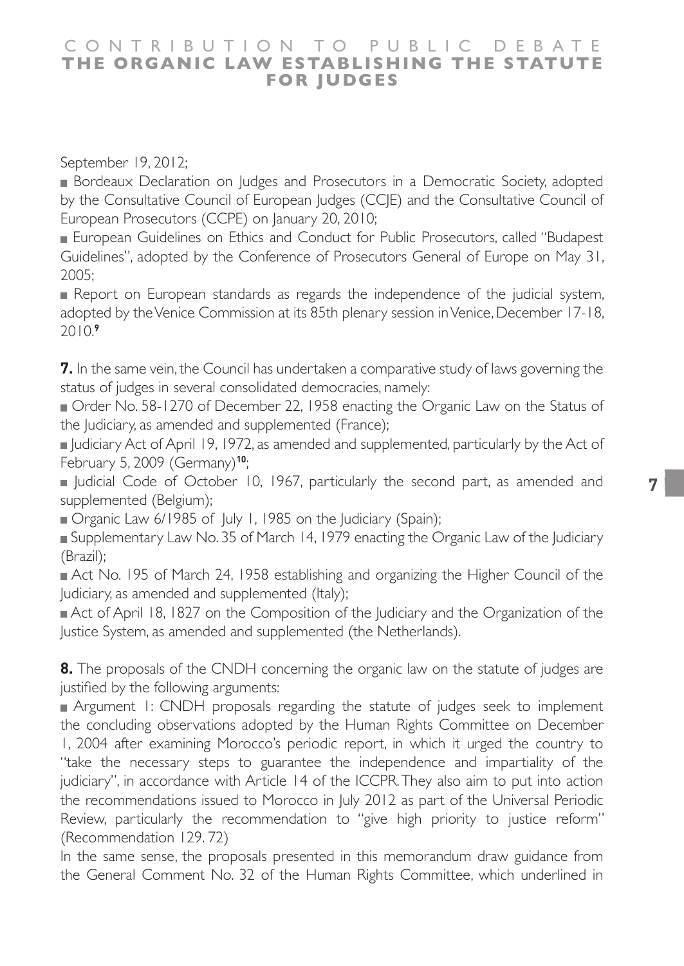September 19, 2012;

 Bordeaux Declaration on Judges and Prosecutors in a Democratic Society, adopted by the Consultative Council of European Judges (CCJE) and the Consultative Council of European Prosecutors (CCPE) on January 20, 2010;

 European Guidelines on Ethics and Conduct for Public Prosecutors, called "Budapest Guidelines", adopted by the Conference of Prosecutors General of Europe on May 31, 2005;

Report on European standards as regards the independence of the judicial system, adopted by the Venice Commission at its 85th plenary session in Venice, December 17-18, 2010.**<sup>9</sup>**

**7.** In the same vein, the Council has undertaken a comparative study of laws governing the status of judges in several consolidated democracies, namely:

Order No. 58-1270 of December 22, 1958 enacting the Organic Law on the Status of the Judiciary, as amended and supplemented (France);

I Judiciary Act of April 19, 1972, as amended and supplemented, particularly by the Act of February 5, 2009 (Germany)**<sup>10</sup>**;

I Judicial Code of October 10, 1967, particularly the second part, as amended and supplemented (Belgium);

Organic Law 6/1985 of July 1, 1985 on the Judiciary (Spain);

 Supplementary Law No. 35 of March 14, 1979 enacting the Organic Law of the Judiciary (Brazil);

Act No. 195 of March 24, 1958 establishing and organizing the Higher Council of the Judiciary, as amended and supplemented (Italy);

Act of April 18, 1827 on the Composition of the Judiciary and the Organization of the Justice System, as amended and supplemented (the Netherlands).

**8.** The proposals of the CNDH concerning the organic law on the statute of judges are justified by the following arguments:

**Argument 1: CNDH proposals regarding the statute of judges seek to implement** the concluding observations adopted by the Human Rights Committee on December 1, 2004 after examining Morocco's periodic report, in which it urged the country to "take the necessary steps to guarantee the independence and impartiality of the judiciary", in accordance with Article 14 of the ICCPR. They also aim to put into action the recommendations issued to Morocco in July 2012 as part of the Universal Periodic Review, particularly the recommendation to "give high priority to justice reform" (Recommendation 129. 72)

In the same sense, the proposals presented in this memorandum draw guidance from the General Comment No. 32 of the Human Rights Committee, which underlined in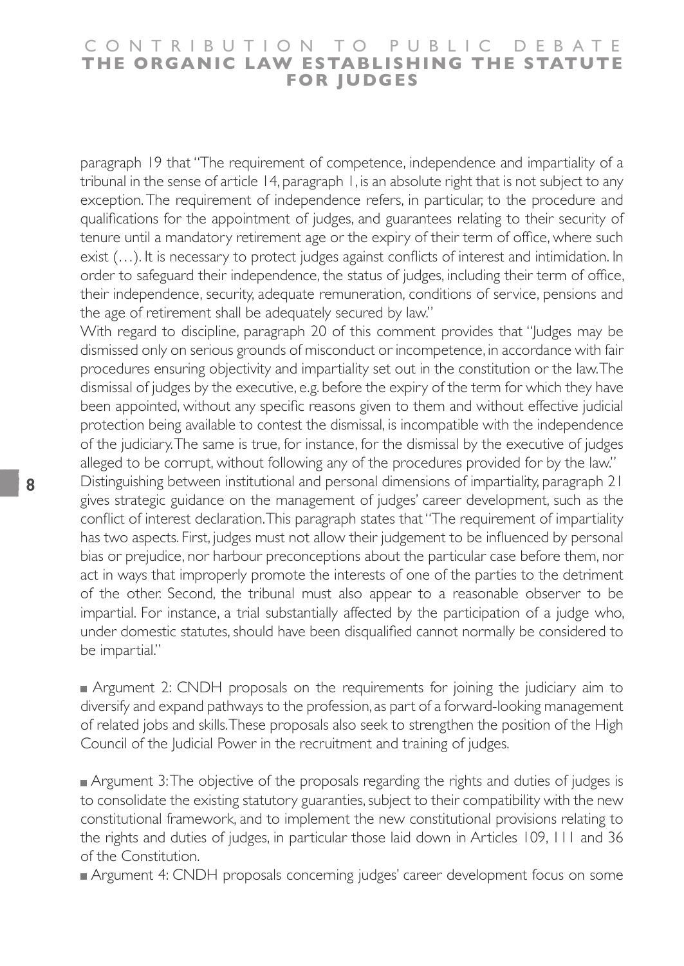paragraph 19 that "The requirement of competence, independence and impartiality of a tribunal in the sense of article 14, paragraph 1, is an absolute right that is not subject to any exception. The requirement of independence refers, in particular, to the procedure and qualifications for the appointment of judges, and guarantees relating to their security of tenure until a mandatory retirement age or the expiry of their term of office, where such exist (…). It is necessary to protect judges against conflicts of interest and intimidation. In order to safeguard their independence, the status of judges, including their term of office, their independence, security, adequate remuneration, conditions of service, pensions and the age of retirement shall be adequately secured by law."

With regard to discipline, paragraph 20 of this comment provides that "Judges may be dismissed only on serious grounds of misconduct or incompetence, in accordance with fair procedures ensuring objectivity and impartiality set out in the constitution or the law. The dismissal of judges by the executive, e.g. before the expiry of the term for which they have been appointed, without any specific reasons given to them and without effective judicial protection being available to contest the dismissal, is incompatible with the independence of the judiciary. The same is true, for instance, for the dismissal by the executive of judges alleged to be corrupt, without following any of the procedures provided for by the law."

Distinguishing between institutional and personal dimensions of impartiality, paragraph 21 gives strategic guidance on the management of judges' career development, such as the conflict of interest declaration. This paragraph states that "The requirement of impartiality has two aspects. First, judges must not allow their judgement to be influenced by personal bias or prejudice, nor harbour preconceptions about the particular case before them, nor act in ways that improperly promote the interests of one of the parties to the detriment of the other. Second, the tribunal must also appear to a reasonable observer to be impartial. For instance, a trial substantially affected by the participation of a judge who, under domestic statutes, should have been disqualified cannot normally be considered to be impartial."

Argument 2: CNDH proposals on the requirements for joining the judiciary aim to diversify and expand pathways to the profession, as part of a forward-looking management of related jobs and skills. These proposals also seek to strengthen the position of the High Council of the Judicial Power in the recruitment and training of judges.

**Argument 3: The objective of the proposals regarding the rights and duties of judges is** to consolidate the existing statutory guaranties, subject to their compatibility with the new constitutional framework, and to implement the new constitutional provisions relating to the rights and duties of judges, in particular those laid down in Articles 109, 111 and 36 of the Constitution.

Argument 4: CNDH proposals concerning judges' career development focus on some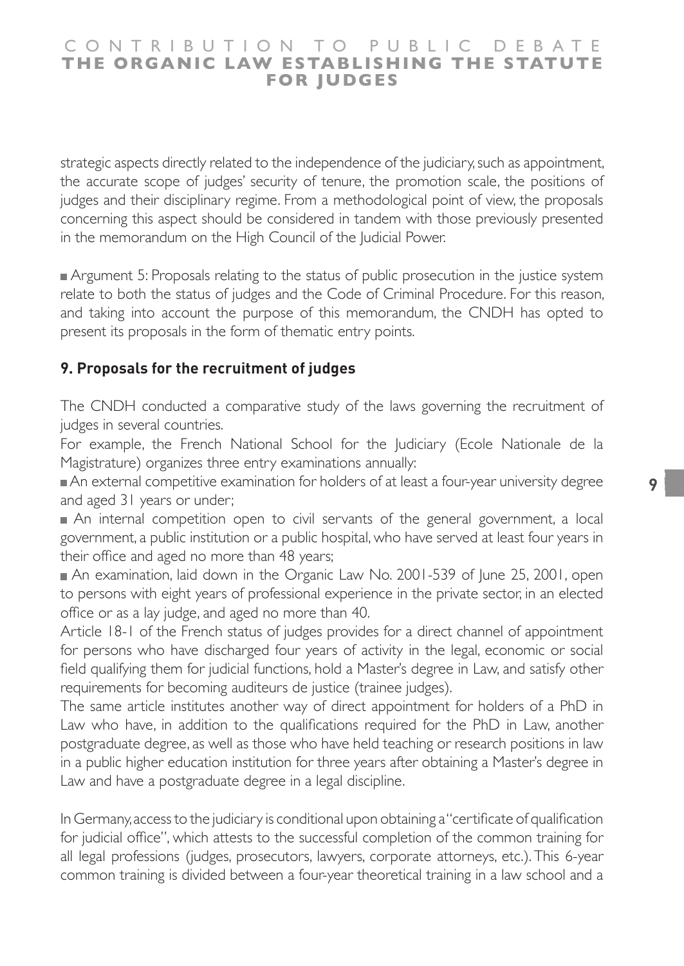strategic aspects directly related to the independence of the judiciary, such as appointment, the accurate scope of judges' security of tenure, the promotion scale, the positions of judges and their disciplinary regime. From a methodological point of view, the proposals concerning this aspect should be considered in tandem with those previously presented in the memorandum on the High Council of the Judicial Power.

**Argument 5: Proposals relating to the status of public prosecution in the justice system** relate to both the status of judges and the Code of Criminal Procedure. For this reason, and taking into account the purpose of this memorandum, the CNDH has opted to present its proposals in the form of thematic entry points.

#### **9. Proposals for the recruitment of judges**

The CNDH conducted a comparative study of the laws governing the recruitment of judges in several countries.

For example, the French National School for the Judiciary (Ecole Nationale de la Magistrature) organizes three entry examinations annually:

An external competitive examination for holders of at least a four-year university degree and aged 31 years or under;

 An internal competition open to civil servants of the general government, a local government, a public institution or a public hospital, who have served at least four years in their office and aged no more than 48 years;

An examination, laid down in the Organic Law No. 2001-539 of June 25, 2001, open to persons with eight years of professional experience in the private sector, in an elected office or as a lay judge, and aged no more than 40.

Article 18-1 of the French status of judges provides for a direct channel of appointment for persons who have discharged four years of activity in the legal, economic or social field qualifying them for judicial functions, hold a Master's degree in Law, and satisfy other requirements for becoming auditeurs de justice (trainee judges).

The same article institutes another way of direct appointment for holders of a PhD in Law who have, in addition to the qualifications required for the PhD in Law, another postgraduate degree, as well as those who have held teaching or research positions in law in a public higher education institution for three years after obtaining a Master's degree in Law and have a postgraduate degree in a legal discipline.

In Germany, access to the judiciary is conditional upon obtaining a "certificate of qualification for judicial office", which attests to the successful completion of the common training for all legal professions (judges, prosecutors, lawyers, corporate attorneys, etc.). This 6-year common training is divided between a four-year theoretical training in a law school and a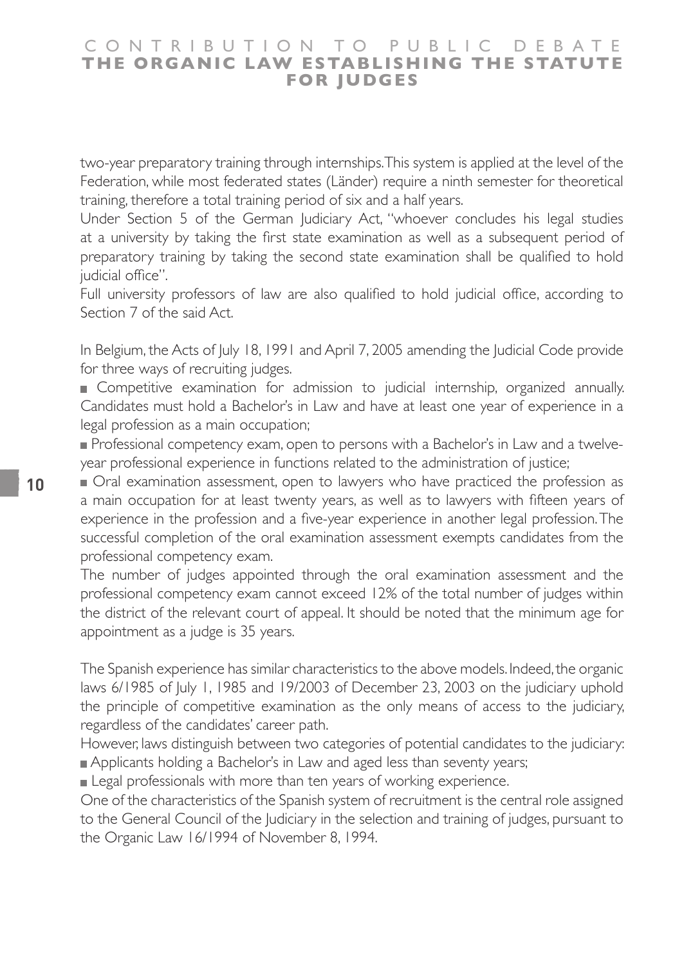two-year preparatory training through internships. This system is applied at the level of the Federation, while most federated states (Länder) require a ninth semester for theoretical training, therefore a total training period of six and a half years.

Under Section 5 of the German Judiciary Act, "whoever concludes his legal studies at a university by taking the first state examination as well as a subsequent period of preparatory training by taking the second state examination shall be qualified to hold iudicial office".

Full university professors of law are also qualified to hold judicial office, according to Section 7 of the said Act.

In Belgium, the Acts of July 18, 1991 and April 7, 2005 amending the Judicial Code provide for three ways of recruiting judges.

 Competitive examination for admission to judicial internship, organized annually. Candidates must hold a Bachelor's in Law and have at least one year of experience in a legal profession as a main occupation;

 Professional competency exam, open to persons with a Bachelor's in Law and a twelveyear professional experience in functions related to the administration of justice;

Oral examination assessment, open to lawyers who have practiced the profession as a main occupation for at least twenty years, as well as to lawyers with fifteen years of experience in the profession and a five-year experience in another legal profession. The successful completion of the oral examination assessment exempts candidates from the professional competency exam.

The number of judges appointed through the oral examination assessment and the professional competency exam cannot exceed 12% of the total number of judges within the district of the relevant court of appeal. It should be noted that the minimum age for appointment as a judge is 35 years.

The Spanish experience has similar characteristics to the above models. Indeed, the organic laws 6/1985 of July 1, 1985 and 19/2003 of December 23, 2003 on the judiciary uphold the principle of competitive examination as the only means of access to the judiciary, regardless of the candidates' career path.

However, laws distinguish between two categories of potential candidates to the judiciary: Applicants holding a Bachelor's in Law and aged less than seventy years;

**Legal professionals with more than ten years of working experience.** 

One of the characteristics of the Spanish system of recruitment is the central role assigned to the General Council of the Judiciary in the selection and training of judges, pursuant to the Organic Law 16/1994 of November 8, 1994.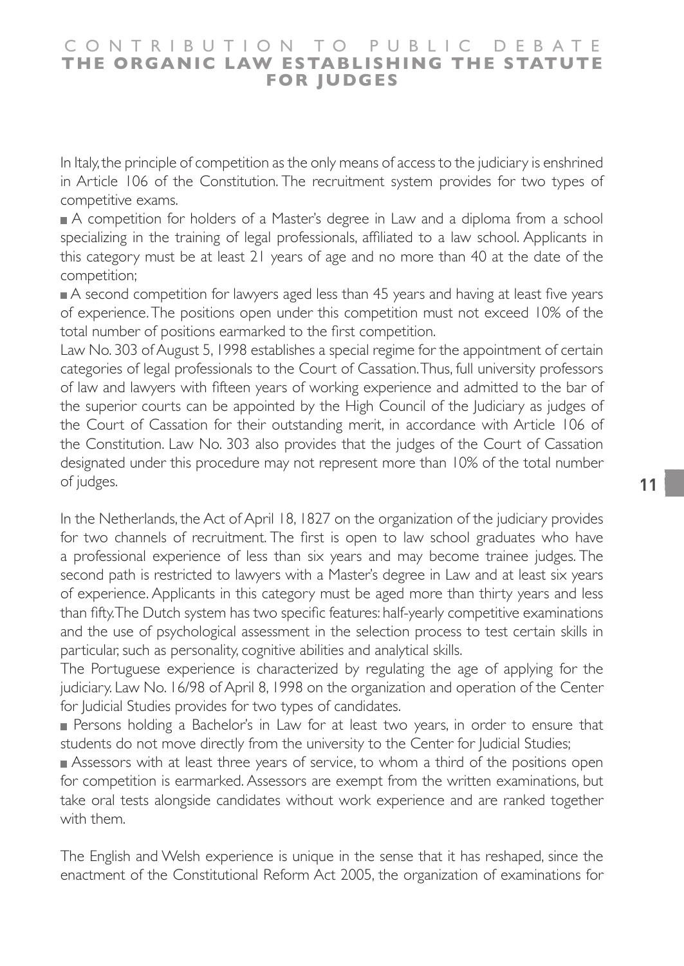In Italy, the principle of competition as the only means of access to the judiciary is enshrined in Article 106 of the Constitution. The recruitment system provides for two types of competitive exams.

A competition for holders of a Master's degree in Law and a diploma from a school specializing in the training of legal professionals, affiliated to a law school. Applicants in this category must be at least 21 years of age and no more than 40 at the date of the competition;

A second competition for lawyers aged less than 45 years and having at least five years of experience. The positions open under this competition must not exceed 10% of the total number of positions earmarked to the first competition.

Law No. 303 of August 5, 1998 establishes a special regime for the appointment of certain categories of legal professionals to the Court of Cassation. Thus, full university professors of law and lawyers with fifteen years of working experience and admitted to the bar of the superior courts can be appointed by the High Council of the Judiciary as judges of the Court of Cassation for their outstanding merit, in accordance with Article 106 of the Constitution. Law No. 303 also provides that the judges of the Court of Cassation designated under this procedure may not represent more than 10% of the total number of judges.

In the Netherlands, the Act of April 18, 1827 on the organization of the judiciary provides for two channels of recruitment. The first is open to law school graduates who have a professional experience of less than six years and may become trainee judges. The second path is restricted to lawyers with a Master's degree in Law and at least six years of experience. Applicants in this category must be aged more than thirty years and less than fifty. The Dutch system has two specific features: half-yearly competitive examinations and the use of psychological assessment in the selection process to test certain skills in particular, such as personality, cognitive abilities and analytical skills.

The Portuguese experience is characterized by regulating the age of applying for the judiciary. Law No. 16/98 of April 8, 1998 on the organization and operation of the Center for Judicial Studies provides for two types of candidates.

**Persons holding a Bachelor's in Law for at least two years, in order to ensure that** students do not move directly from the university to the Center for Judicial Studies;

 Assessors with at least three years of service, to whom a third of the positions open for competition is earmarked. Assessors are exempt from the written examinations, but take oral tests alongside candidates without work experience and are ranked together with them.

The English and Welsh experience is unique in the sense that it has reshaped, since the enactment of the Constitutional Reform Act 2005, the organization of examinations for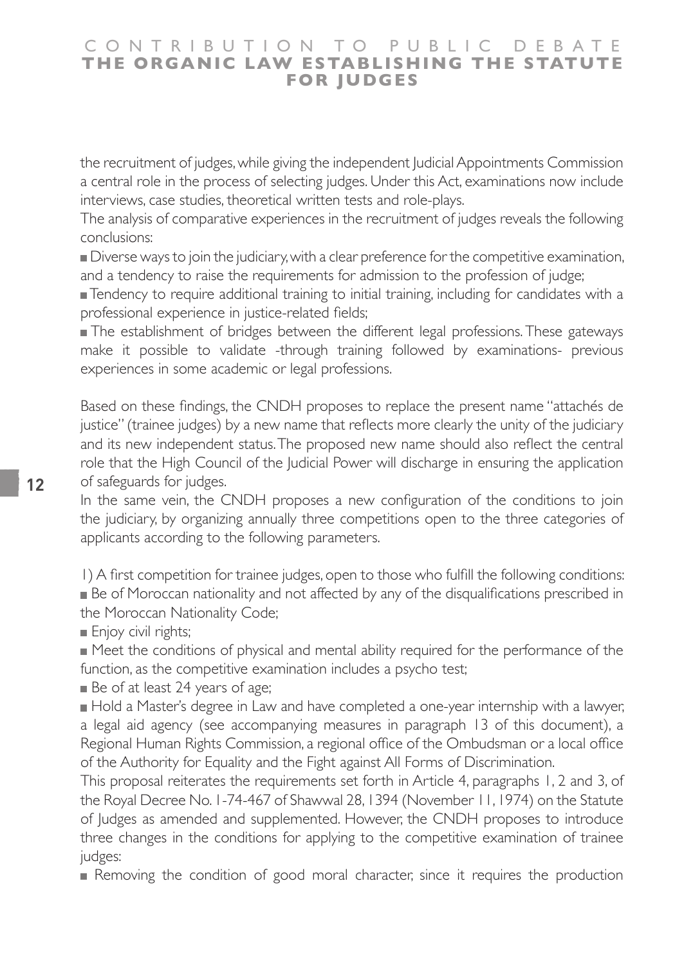the recruitment of judges, while giving the independent Judicial Appointments Commission a central role in the process of selecting judges. Under this Act, examinations now include interviews, case studies, theoretical written tests and role-plays.

The analysis of comparative experiences in the recruitment of judges reveals the following conclusions:

Diverse ways to join the judiciary, with a clear preference for the competitive examination, and a tendency to raise the requirements for admission to the profession of judge;

Tendency to require additional training to initial training, including for candidates with a professional experience in justice-related fields;

The establishment of bridges between the different legal professions. These gateways make it possible to validate -through training followed by examinations- previous experiences in some academic or legal professions.

Based on these findings, the CNDH proposes to replace the present name "attachés de justice" (trainee judges) by a new name that reflects more clearly the unity of the judiciary and its new independent status. The proposed new name should also reflect the central role that the High Council of the Judicial Power will discharge in ensuring the application of safeguards for judges.

In the same vein, the CNDH proposes a new configuration of the conditions to join the judiciary, by organizing annually three competitions open to the three categories of applicants according to the following parameters.

1) A first competition for trainee judges, open to those who fulfill the following conditions: Be of Moroccan nationality and not affected by any of the disqualifications prescribed in the Moroccan Nationality Code;

**Enjoy civil rights;** 

 Meet the conditions of physical and mental ability required for the performance of the function, as the competitive examination includes a psycho test;

Be of at least 24 years of age;

 Hold a Master's degree in Law and have completed a one-year internship with a lawyer, a legal aid agency (see accompanying measures in paragraph 13 of this document), a Regional Human Rights Commission, a regional office of the Ombudsman or a local office of the Authority for Equality and the Fight against All Forms of Discrimination.

This proposal reiterates the requirements set forth in Article 4, paragraphs 1, 2 and 3, of the Royal Decree No. 1-74-467 of Shawwal 28, 1394 (November 11, 1974) on the Statute of Judges as amended and supplemented. However, the CNDH proposes to introduce three changes in the conditions for applying to the competitive examination of trainee judges:

Removing the condition of good moral character, since it requires the production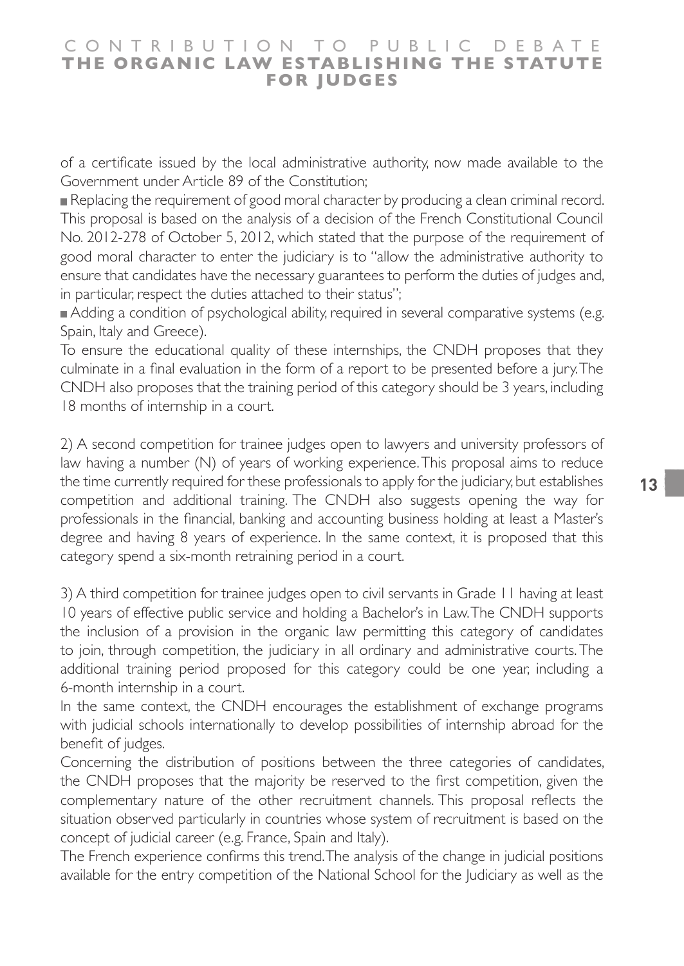of a certificate issued by the local administrative authority, now made available to the Government under Article 89 of the Constitution;

Replacing the requirement of good moral character by producing a clean criminal record. This proposal is based on the analysis of a decision of the French Constitutional Council No. 2012-278 of October 5, 2012, which stated that the purpose of the requirement of good moral character to enter the judiciary is to "allow the administrative authority to ensure that candidates have the necessary guarantees to perform the duties of judges and, in particular, respect the duties attached to their status";

Adding a condition of psychological ability, required in several comparative systems (e.g. Spain, Italy and Greece).

To ensure the educational quality of these internships, the CNDH proposes that they culminate in a final evaluation in the form of a report to be presented before a jury. The CNDH also proposes that the training period of this category should be 3 years, including 18 months of internship in a court.

2) A second competition for trainee judges open to lawyers and university professors of law having a number (N) of years of working experience. This proposal aims to reduce the time currently required for these professionals to apply for the judiciary, but establishes competition and additional training. The CNDH also suggests opening the way for professionals in the financial, banking and accounting business holding at least a Master's degree and having 8 years of experience. In the same context, it is proposed that this category spend a six-month retraining period in a court.

3) A third competition for trainee judges open to civil servants in Grade 11 having at least 10 years of effective public service and holding a Bachelor's in Law. The CNDH supports the inclusion of a provision in the organic law permitting this category of candidates to join, through competition, the judiciary in all ordinary and administrative courts. The additional training period proposed for this category could be one year, including a 6-month internship in a court.

In the same context, the CNDH encourages the establishment of exchange programs with judicial schools internationally to develop possibilities of internship abroad for the benefit of judges.

Concerning the distribution of positions between the three categories of candidates, the CNDH proposes that the majority be reserved to the first competition, given the complementary nature of the other recruitment channels. This proposal reflects the situation observed particularly in countries whose system of recruitment is based on the concept of judicial career (e.g. France, Spain and Italy).

The French experience confirms this trend. The analysis of the change in judicial positions available for the entry competition of the National School for the Judiciary as well as the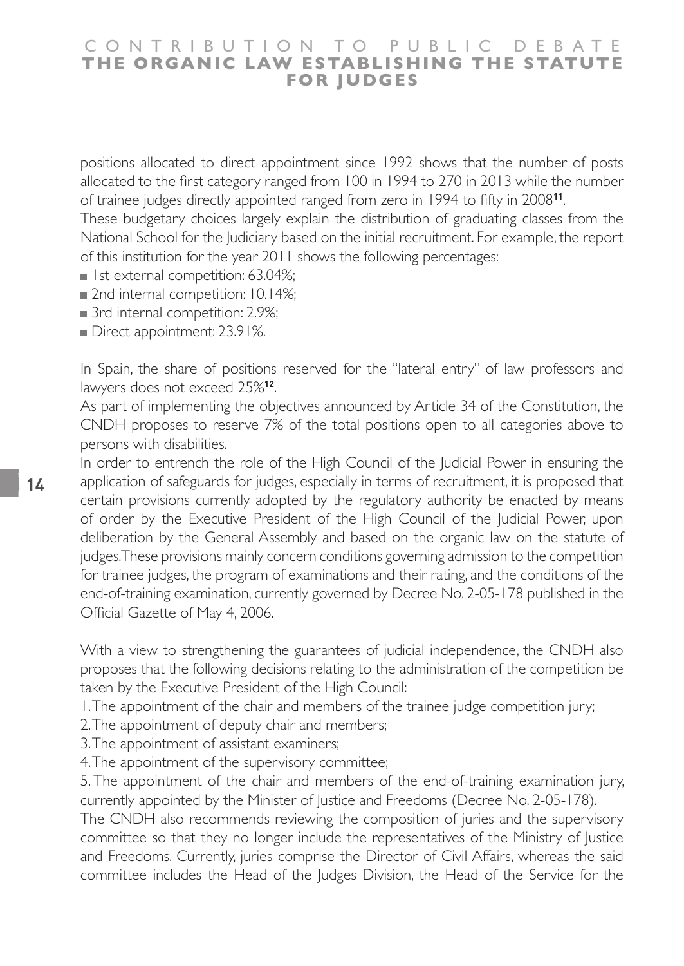positions allocated to direct appointment since 1992 shows that the number of posts allocated to the first category ranged from 100 in 1994 to 270 in 2013 while the number of trainee judges directly appointed ranged from zero in 1994 to fifty in 2008**<sup>11</sup>**.

These budgetary choices largely explain the distribution of graduating classes from the National School for the Judiciary based on the initial recruitment. For example, the report of this institution for the year 2011 shows the following percentages:

- I Ist external competition: 63.04%;
- 2nd internal competition: 10.14%;
- 3rd internal competition: 2.9%;
- Direct appointment: 23.91%.

In Spain, the share of positions reserved for the "lateral entry" of law professors and lawyers does not exceed 25%**<sup>12</sup>**.

As part of implementing the objectives announced by Article 34 of the Constitution, the CNDH proposes to reserve 7% of the total positions open to all categories above to persons with disabilities.

In order to entrench the role of the High Council of the Judicial Power in ensuring the application of safeguards for judges, especially in terms of recruitment, it is proposed that certain provisions currently adopted by the regulatory authority be enacted by means of order by the Executive President of the High Council of the Judicial Power, upon deliberation by the General Assembly and based on the organic law on the statute of judges. These provisions mainly concern conditions governing admission to the competition for trainee judges, the program of examinations and their rating, and the conditions of the end-of-training examination, currently governed by Decree No. 2-05-178 published in the Official Gazette of May 4, 2006.

With a view to strengthening the guarantees of judicial independence, the CNDH also proposes that the following decisions relating to the administration of the competition be taken by the Executive President of the High Council:

1. The appointment of the chair and members of the trainee judge competition jury;

2. The appointment of deputy chair and members;

3. The appointment of assistant examiners;

4. The appointment of the supervisory committee;

5. The appointment of the chair and members of the end-of-training examination jury, currently appointed by the Minister of Justice and Freedoms (Decree No. 2-05-178).

The CNDH also recommends reviewing the composition of juries and the supervisory committee so that they no longer include the representatives of the Ministry of Justice and Freedoms. Currently, juries comprise the Director of Civil Affairs, whereas the said committee includes the Head of the Judges Division, the Head of the Service for the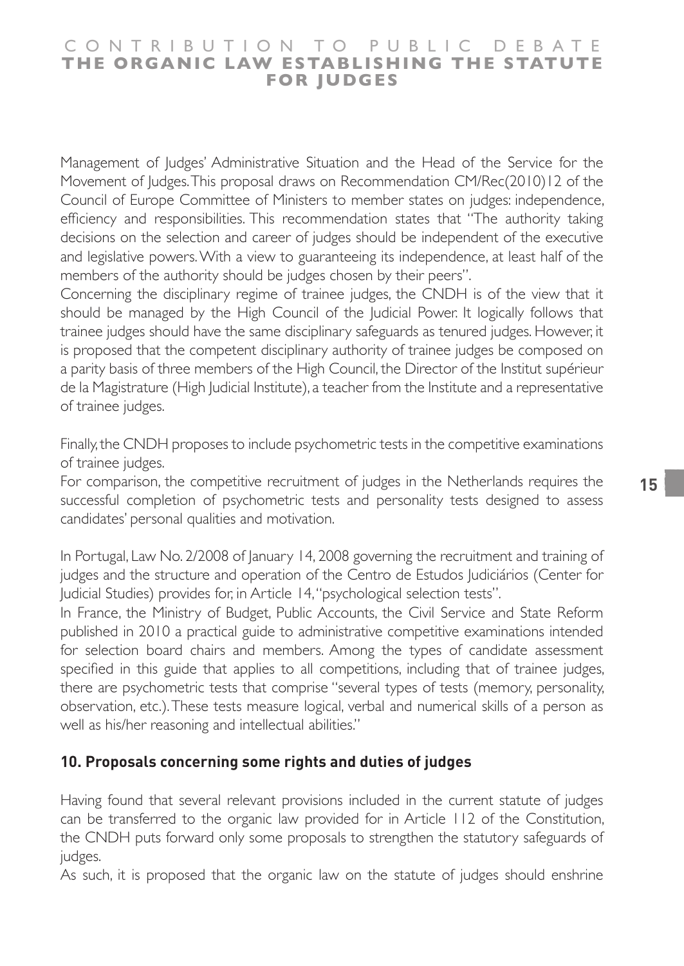Management of Judges' Administrative Situation and the Head of the Service for the Movement of Judges. This proposal draws on Recommendation CM/Rec(2010)12 of the Council of Europe Committee of Ministers to member states on judges: independence, efficiency and responsibilities. This recommendation states that "The authority taking decisions on the selection and career of judges should be independent of the executive and legislative powers. With a view to guaranteeing its independence, at least half of the members of the authority should be judges chosen by their peers".

Concerning the disciplinary regime of trainee judges, the CNDH is of the view that it should be managed by the High Council of the Judicial Power. It logically follows that trainee judges should have the same disciplinary safeguards as tenured judges. However, it is proposed that the competent disciplinary authority of trainee judges be composed on a parity basis of three members of the High Council, the Director of the Institut supérieur de la Magistrature (High Judicial Institute), a teacher from the Institute and a representative of trainee judges.

Finally, the CNDH proposes to include psychometric tests in the competitive examinations of trainee judges.

For comparison, the competitive recruitment of judges in the Netherlands requires the successful completion of psychometric tests and personality tests designed to assess candidates' personal qualities and motivation.

In Portugal, Law No. 2/2008 of January 14, 2008 governing the recruitment and training of judges and the structure and operation of the Centro de Estudos Judiciários (Center for Judicial Studies) provides for, in Article 14, "psychological selection tests".

In France, the Ministry of Budget, Public Accounts, the Civil Service and State Reform published in 2010 a practical guide to administrative competitive examinations intended for selection board chairs and members. Among the types of candidate assessment specified in this guide that applies to all competitions, including that of trainee judges, there are psychometric tests that comprise "several types of tests (memory, personality, observation, etc.). These tests measure logical, verbal and numerical skills of a person as well as his/her reasoning and intellectual abilities."

#### **10. Proposals concerning some rights and duties of judges**

Having found that several relevant provisions included in the current statute of judges can be transferred to the organic law provided for in Article 112 of the Constitution, the CNDH puts forward only some proposals to strengthen the statutory safeguards of judges.

As such, it is proposed that the organic law on the statute of judges should enshrine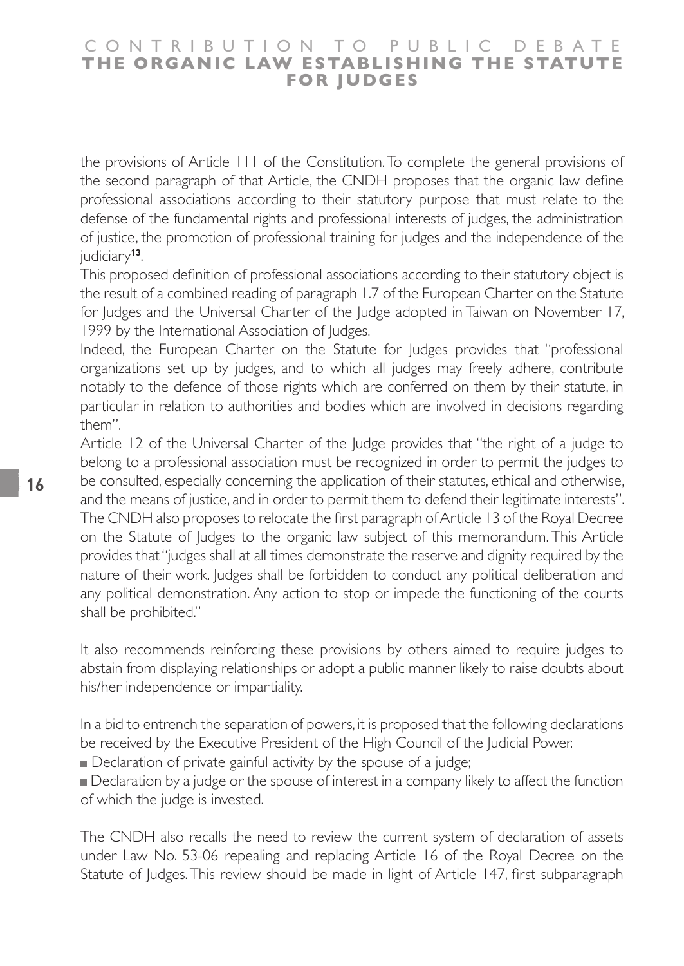the provisions of Article 111 of the Constitution. To complete the general provisions of the second paragraph of that Article, the CNDH proposes that the organic law define professional associations according to their statutory purpose that must relate to the defense of the fundamental rights and professional interests of judges, the administration of justice, the promotion of professional training for judges and the independence of the judiciary**<sup>13</sup>**.

This proposed definition of professional associations according to their statutory object is the result of a combined reading of paragraph 1.7 of the European Charter on the Statute for Judges and the Universal Charter of the Judge adopted in Taiwan on November 17, 1999 by the International Association of Judges.

Indeed, the European Charter on the Statute for Judges provides that "professional organizations set up by judges, and to which all judges may freely adhere, contribute notably to the defence of those rights which are conferred on them by their statute, in particular in relation to authorities and bodies which are involved in decisions regarding them".

Article 12 of the Universal Charter of the Judge provides that "the right of a judge to belong to a professional association must be recognized in order to permit the judges to be consulted, especially concerning the application of their statutes, ethical and otherwise, and the means of justice, and in order to permit them to defend their legitimate interests". The CNDH also proposes to relocate the first paragraph of Article 13 of the Royal Decree on the Statute of Judges to the organic law subject of this memorandum. This Article provides that "judges shall at all times demonstrate the reserve and dignity required by the nature of their work. Judges shall be forbidden to conduct any political deliberation and any political demonstration. Any action to stop or impede the functioning of the courts shall be prohibited."

It also recommends reinforcing these provisions by others aimed to require judges to abstain from displaying relationships or adopt a public manner likely to raise doubts about his/her independence or impartiality.

In a bid to entrench the separation of powers, it is proposed that the following declarations be received by the Executive President of the High Council of the Judicial Power.

Declaration of private gainful activity by the spouse of a judge;

Declaration by a judge or the spouse of interest in a company likely to affect the function of which the judge is invested.

The CNDH also recalls the need to review the current system of declaration of assets under Law No. 53-06 repealing and replacing Article 16 of the Royal Decree on the Statute of Judges. This review should be made in light of Article 147, first subparagraph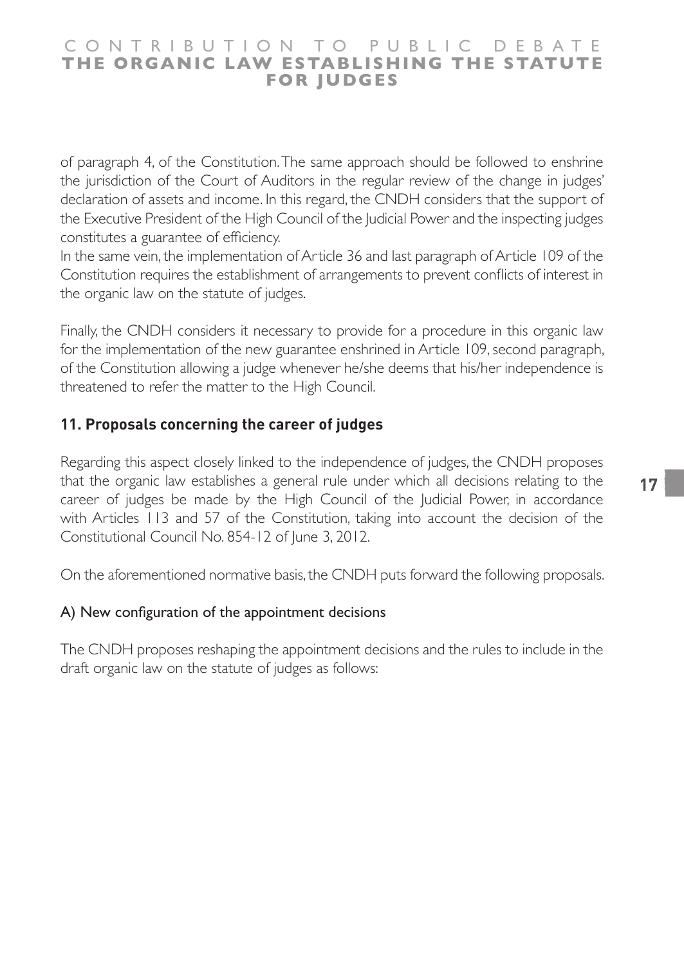of paragraph 4, of the Constitution. The same approach should be followed to enshrine the jurisdiction of the Court of Auditors in the regular review of the change in judges' declaration of assets and income. In this regard, the CNDH considers that the support of the Executive President of the High Council of the Judicial Power and the inspecting judges constitutes a guarantee of efficiency.

In the same vein, the implementation of Article 36 and last paragraph of Article 109 of the Constitution requires the establishment of arrangements to prevent conflicts of interest in the organic law on the statute of judges.

Finally, the CNDH considers it necessary to provide for a procedure in this organic law for the implementation of the new guarantee enshrined in Article 109, second paragraph, of the Constitution allowing a judge whenever he/she deems that his/her independence is threatened to refer the matter to the High Council.

#### **11. Proposals concerning the career of judges**

Regarding this aspect closely linked to the independence of judges, the CNDH proposes that the organic law establishes a general rule under which all decisions relating to the career of judges be made by the High Council of the Judicial Power, in accordance with Articles 113 and 57 of the Constitution, taking into account the decision of the Constitutional Council No. 854-12 of June 3, 2012.

On the aforementioned normative basis, the CNDH puts forward the following proposals.

#### A) New configuration of the appointment decisions

The CNDH proposes reshaping the appointment decisions and the rules to include in the draft organic law on the statute of judges as follows: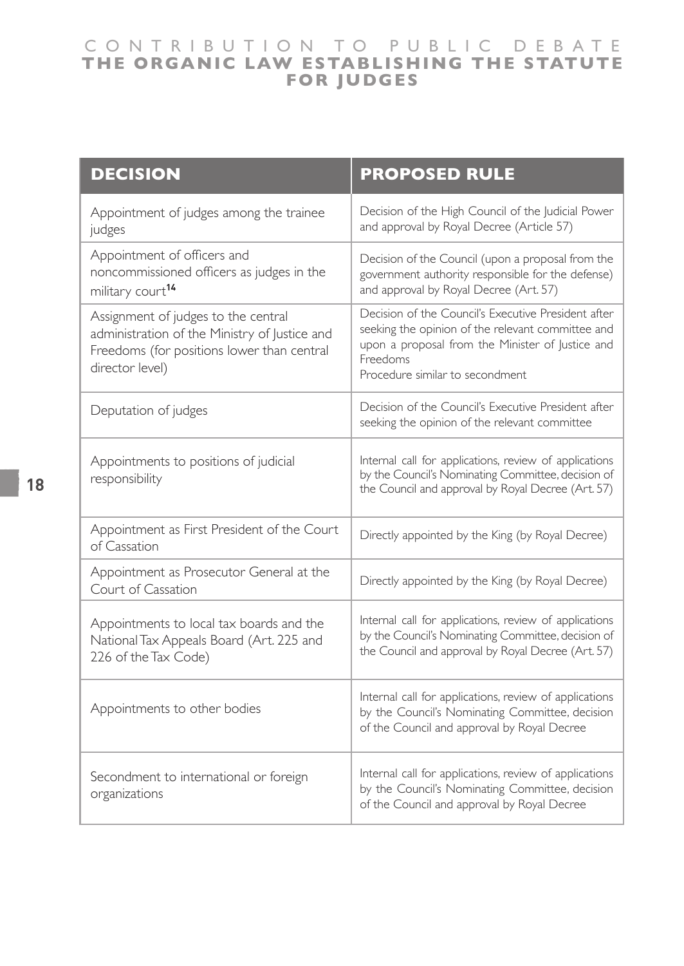| <b>DECISION</b>                                                                                                                                       | <b>PROPOSED RULE</b>                                                                                                                                                                                        |
|-------------------------------------------------------------------------------------------------------------------------------------------------------|-------------------------------------------------------------------------------------------------------------------------------------------------------------------------------------------------------------|
| Appointment of judges among the trainee<br>judges                                                                                                     | Decision of the High Council of the Judicial Power<br>and approval by Royal Decree (Article 57)                                                                                                             |
| Appointment of officers and<br>noncommissioned officers as judges in the<br>military court <sup>14</sup>                                              | Decision of the Council (upon a proposal from the<br>government authority responsible for the defense)<br>and approval by Royal Decree (Art. 57)                                                            |
| Assignment of judges to the central<br>administration of the Ministry of Justice and<br>Freedoms (for positions lower than central<br>director level) | Decision of the Council's Executive President after<br>seeking the opinion of the relevant committee and<br>upon a proposal from the Minister of Justice and<br>Freedoms<br>Procedure similar to secondment |
| Deputation of judges                                                                                                                                  | Decision of the Council's Executive President after<br>seeking the opinion of the relevant committee                                                                                                        |
| Appointments to positions of judicial<br>responsibility                                                                                               | Internal call for applications, review of applications<br>by the Council's Nominating Committee, decision of<br>the Council and approval by Royal Decree (Art. 57)                                          |
| Appointment as First President of the Court<br>of Cassation                                                                                           | Directly appointed by the King (by Royal Decree)                                                                                                                                                            |
| Appointment as Prosecutor General at the<br>Court of Cassation                                                                                        | Directly appointed by the King (by Royal Decree)                                                                                                                                                            |
| Appointments to local tax boards and the<br>National Tax Appeals Board (Art. 225 and<br>226 of the Tax Code)                                          | Internal call for applications, review of applications<br>by the Council's Nominating Committee, decision of<br>the Council and approval by Royal Decree (Art. 57)                                          |
| Appointments to other bodies                                                                                                                          | Internal call for applications, review of applications<br>by the Council's Nominating Committee, decision<br>of the Council and approval by Royal Decree                                                    |
| Secondment to international or foreign<br>organizations                                                                                               | Internal call for applications, review of applications<br>by the Council's Nominating Committee, decision<br>of the Council and approval by Royal Decree                                                    |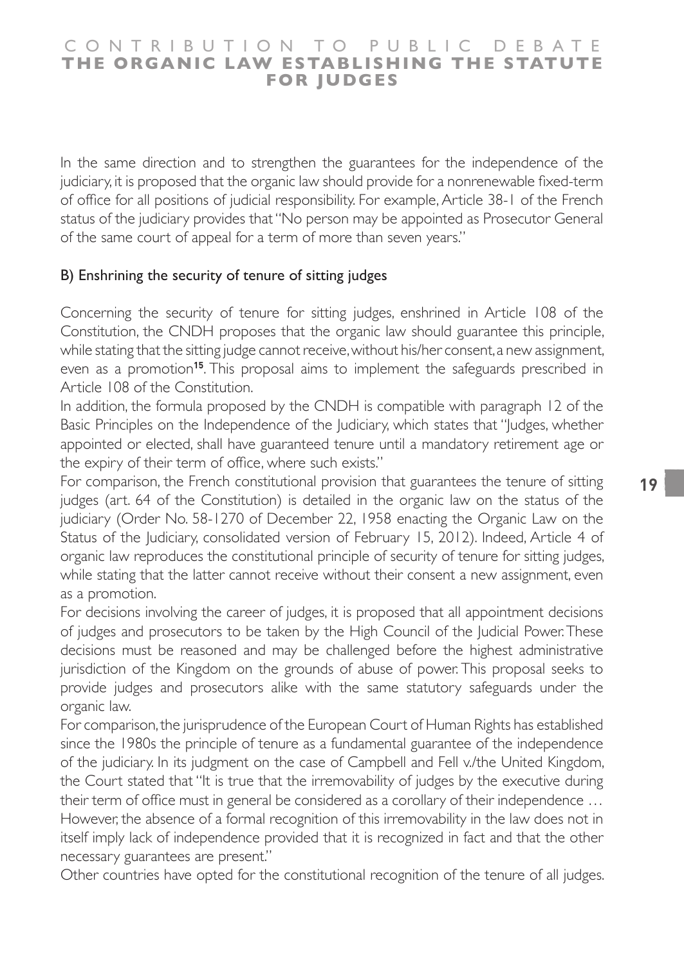In the same direction and to strengthen the guarantees for the independence of the judiciary, it is proposed that the organic law should provide for a nonrenewable fixed-term of office for all positions of judicial responsibility. For example, Article 38-1 of the French status of the judiciary provides that "No person may be appointed as Prosecutor General of the same court of appeal for a term of more than seven years."

#### B) Enshrining the security of tenure of sitting judges

Concerning the security of tenure for sitting judges, enshrined in Article 108 of the Constitution, the CNDH proposes that the organic law should guarantee this principle, while stating that the sitting judge cannot receive, without his/her consent, a new assignment, even as a promotion**<sup>15</sup>**. This proposal aims to implement the safeguards prescribed in Article 108 of the Constitution.

In addition, the formula proposed by the CNDH is compatible with paragraph 12 of the Basic Principles on the Independence of the Judiciary, which states that "Judges, whether appointed or elected, shall have guaranteed tenure until a mandatory retirement age or the expiry of their term of office, where such exists."

For comparison, the French constitutional provision that guarantees the tenure of sitting judges (art. 64 of the Constitution) is detailed in the organic law on the status of the judiciary (Order No. 58-1270 of December 22, 1958 enacting the Organic Law on the Status of the Judiciary, consolidated version of February 15, 2012). Indeed, Article 4 of organic law reproduces the constitutional principle of security of tenure for sitting judges, while stating that the latter cannot receive without their consent a new assignment, even as a promotion.

For decisions involving the career of judges, it is proposed that all appointment decisions of judges and prosecutors to be taken by the High Council of the Judicial Power. These decisions must be reasoned and may be challenged before the highest administrative jurisdiction of the Kingdom on the grounds of abuse of power. This proposal seeks to provide judges and prosecutors alike with the same statutory safeguards under the organic law.

For comparison, the jurisprudence of the European Court of Human Rights has established since the 1980s the principle of tenure as a fundamental guarantee of the independence of the judiciary. In its judgment on the case of Campbell and Fell v./the United Kingdom, the Court stated that "It is true that the irremovability of judges by the executive during their term of office must in general be considered as a corollary of their independence … However, the absence of a formal recognition of this irremovability in the law does not in itself imply lack of independence provided that it is recognized in fact and that the other necessary guarantees are present."

Other countries have opted for the constitutional recognition of the tenure of all judges.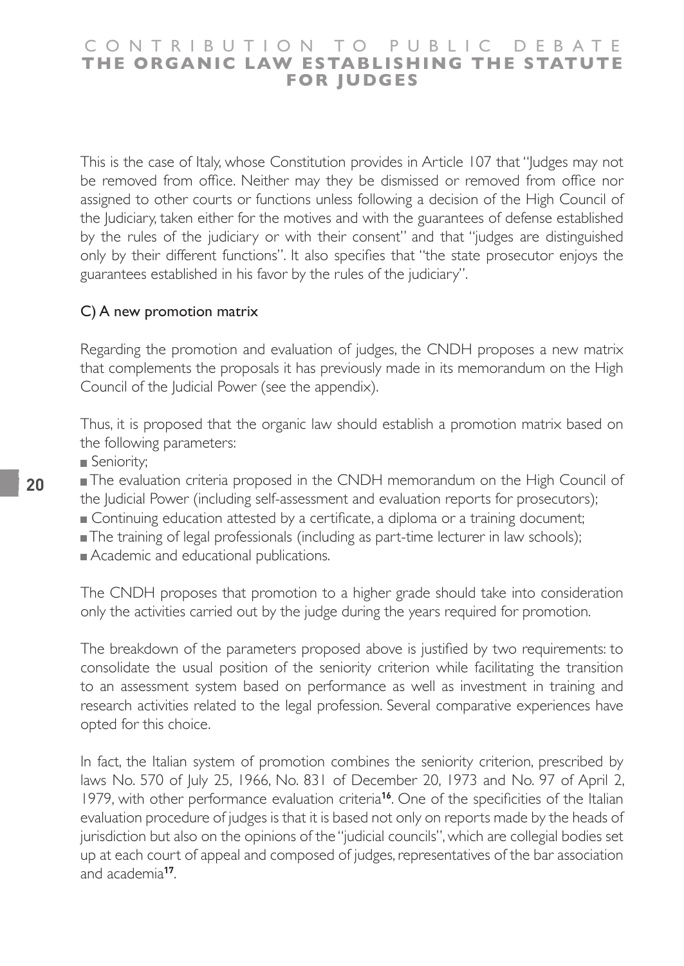This is the case of Italy, whose Constitution provides in Article 107 that "Judges may not be removed from office. Neither may they be dismissed or removed from office nor assigned to other courts or functions unless following a decision of the High Council of the Judiciary, taken either for the motives and with the guarantees of defense established by the rules of the judiciary or with their consent" and that "judges are distinguished only by their different functions". It also specifies that "the state prosecutor enjoys the guarantees established in his favor by the rules of the judiciary".

#### C) A new promotion matrix

Regarding the promotion and evaluation of judges, the CNDH proposes a new matrix that complements the proposals it has previously made in its memorandum on the High Council of the Judicial Power (see the appendix).

Thus, it is proposed that the organic law should establish a promotion matrix based on the following parameters:

Seniority;

 The evaluation criteria proposed in the CNDH memorandum on the High Council of the Judicial Power (including self-assessment and evaluation reports for prosecutors); Continuing education attested by a certificate, a diploma or a training document; The training of legal professionals (including as part-time lecturer in law schools); **Academic and educational publications.** 

The CNDH proposes that promotion to a higher grade should take into consideration only the activities carried out by the judge during the years required for promotion.

The breakdown of the parameters proposed above is justified by two requirements: to consolidate the usual position of the seniority criterion while facilitating the transition to an assessment system based on performance as well as investment in training and research activities related to the legal profession. Several comparative experiences have opted for this choice.

In fact, the Italian system of promotion combines the seniority criterion, prescribed by laws No. 570 of July 25, 1966, No. 831 of December 20, 1973 and No. 97 of April 2, 1979, with other performance evaluation criteria**<sup>16</sup>**. One of the specificities of the Italian evaluation procedure of judges is that it is based not only on reports made by the heads of jurisdiction but also on the opinions of the "judicial councils", which are collegial bodies set up at each court of appeal and composed of judges, representatives of the bar association and academia**17**.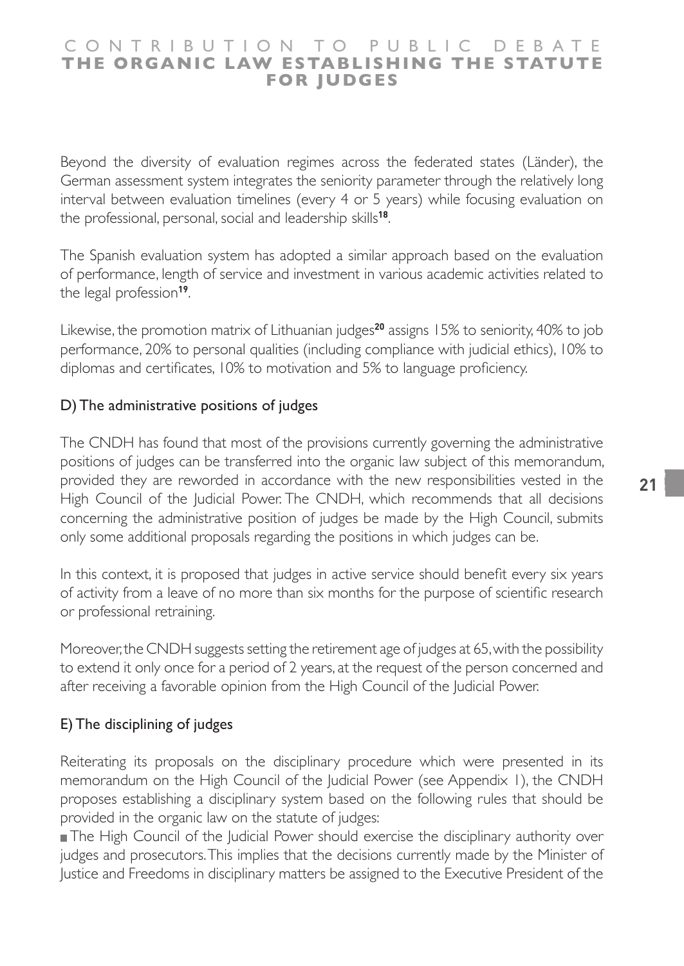Beyond the diversity of evaluation regimes across the federated states (Länder), the German assessment system integrates the seniority parameter through the relatively long interval between evaluation timelines (every 4 or 5 years) while focusing evaluation on the professional, personal, social and leadership skills**<sup>18</sup>**.

The Spanish evaluation system has adopted a similar approach based on the evaluation of performance, length of service and investment in various academic activities related to the legal profession**<sup>19</sup>**.

Likewise, the promotion matrix of Lithuanian judges**<sup>20</sup>** assigns 15% to seniority, 40% to job performance, 20% to personal qualities (including compliance with judicial ethics), 10% to diplomas and certificates, 10% to motivation and 5% to language proficiency.

#### D) The administrative positions of judges

The CNDH has found that most of the provisions currently governing the administrative positions of judges can be transferred into the organic law subject of this memorandum, provided they are reworded in accordance with the new responsibilities vested in the High Council of the Judicial Power. The CNDH, which recommends that all decisions concerning the administrative position of judges be made by the High Council, submits only some additional proposals regarding the positions in which judges can be.

In this context, it is proposed that judges in active service should benefit every six years of activity from a leave of no more than six months for the purpose of scientific research or professional retraining.

Moreover, the CNDH suggests setting the retirement age of judges at 65, with the possibility to extend it only once for a period of 2 years, at the request of the person concerned and after receiving a favorable opinion from the High Council of the Judicial Power.

#### E) The disciplining of judges

Reiterating its proposals on the disciplinary procedure which were presented in its memorandum on the High Council of the Judicial Power (see Appendix 1), the CNDH proposes establishing a disciplinary system based on the following rules that should be provided in the organic law on the statute of judges:

The High Council of the Judicial Power should exercise the disciplinary authority over judges and prosecutors. This implies that the decisions currently made by the Minister of Justice and Freedoms in disciplinary matters be assigned to the Executive President of the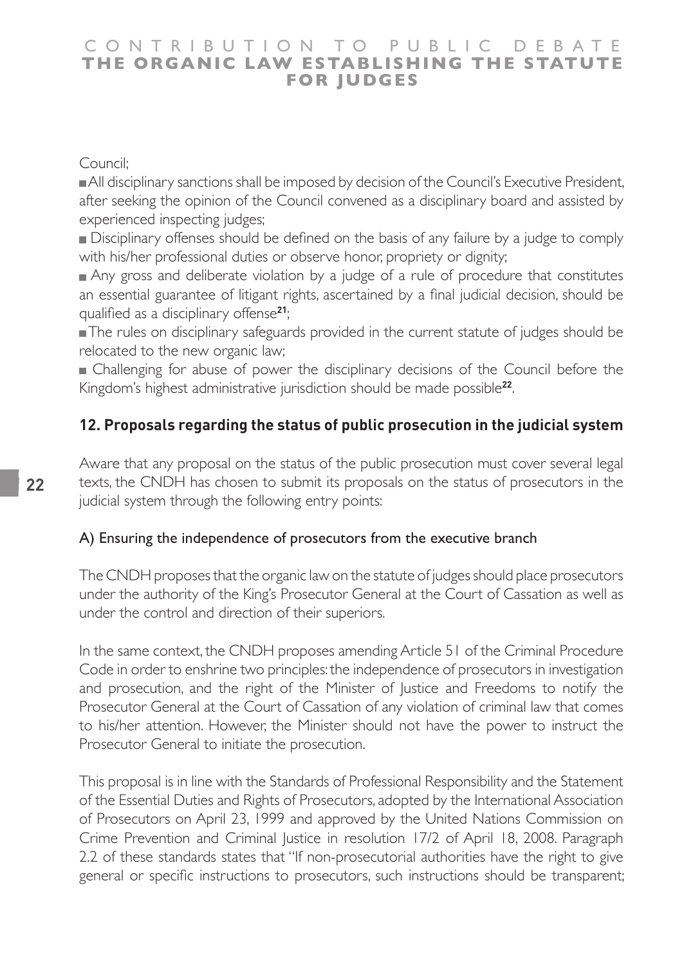#### Council;

 All disciplinary sanctions shall be imposed by decision of the Council's Executive President, after seeking the opinion of the Council convened as a disciplinary board and assisted by experienced inspecting judges;

Disciplinary offenses should be defined on the basis of any failure by a judge to comply with his/her professional duties or observe honor, propriety or dignity;

Any gross and deliberate violation by a judge of a rule of procedure that constitutes an essential guarantee of litigant rights, ascertained by a final judicial decision, should be qualified as a disciplinary offense**<sup>21</sup>**;

The rules on disciplinary safeguards provided in the current statute of judges should be relocated to the new organic law;

 Challenging for abuse of power the disciplinary decisions of the Council before the Kingdom's highest administrative jurisdiction should be made possible**<sup>22</sup>**.

#### **12. Proposals regarding the status of public prosecution in the judicial system**

Aware that any proposal on the status of the public prosecution must cover several legal texts, the CNDH has chosen to submit its proposals on the status of prosecutors in the judicial system through the following entry points:

#### A) Ensuring the independence of prosecutors from the executive branch

The CNDH proposes that the organic law on the statute of judges should place prosecutors under the authority of the King's Prosecutor General at the Court of Cassation as well as under the control and direction of their superiors.

In the same context, the CNDH proposes amending Article 51 of the Criminal Procedure Code in order to enshrine two principles: the independence of prosecutors in investigation and prosecution, and the right of the Minister of Justice and Freedoms to notify the Prosecutor General at the Court of Cassation of any violation of criminal law that comes to his/her attention. However, the Minister should not have the power to instruct the Prosecutor General to initiate the prosecution.

This proposal is in line with the Standards of Professional Responsibility and the Statement of the Essential Duties and Rights of Prosecutors, adopted by the International Association of Prosecutors on April 23, 1999 and approved by the United Nations Commission on Crime Prevention and Criminal Justice in resolution 17/2 of April 18, 2008. Paragraph 2.2 of these standards states that "If non-prosecutorial authorities have the right to give general or specific instructions to prosecutors, such instructions should be transparent;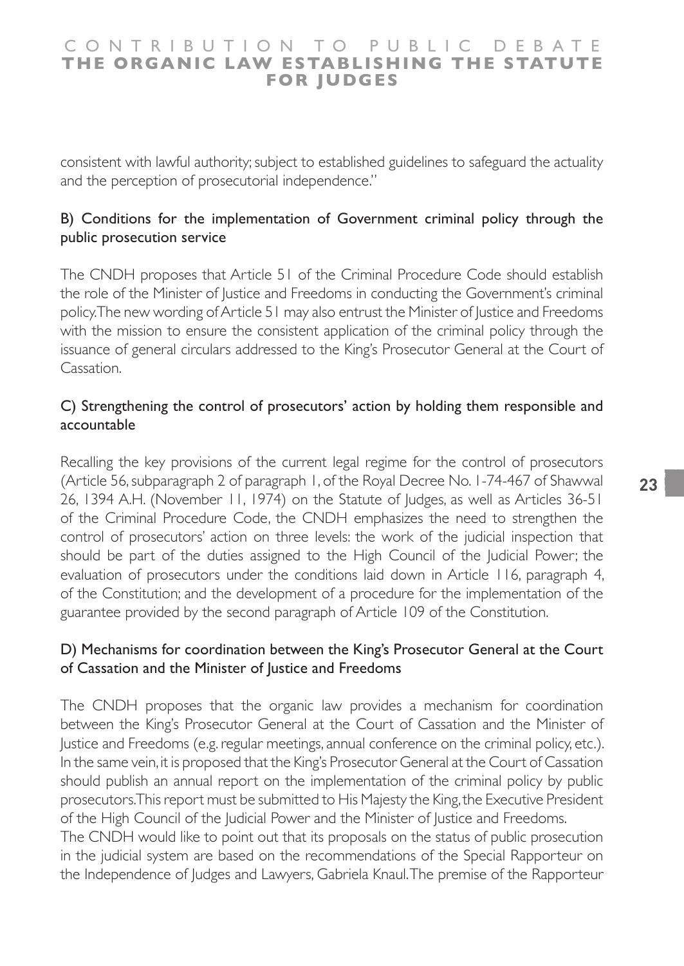consistent with lawful authority; subject to established guidelines to safeguard the actuality and the perception of prosecutorial independence."

#### B) Conditions for the implementation of Government criminal policy through the public prosecution service

The CNDH proposes that Article 51 of the Criminal Procedure Code should establish the role of the Minister of Justice and Freedoms in conducting the Government's criminal policy. The new wording of Article 51 may also entrust the Minister of Justice and Freedoms with the mission to ensure the consistent application of the criminal policy through the issuance of general circulars addressed to the King's Prosecutor General at the Court of Cassation.

#### C) Strengthening the control of prosecutors' action by holding them responsible and accountable

Recalling the key provisions of the current legal regime for the control of prosecutors (Article 56, subparagraph 2 of paragraph 1, of the Royal Decree No. 1-74-467 of Shawwal 26, 1394 A.H. (November 11, 1974) on the Statute of Judges, as well as Articles 36-51 of the Criminal Procedure Code, the CNDH emphasizes the need to strengthen the control of prosecutors' action on three levels: the work of the judicial inspection that should be part of the duties assigned to the High Council of the Judicial Power; the evaluation of prosecutors under the conditions laid down in Article 116, paragraph 4, of the Constitution; and the development of a procedure for the implementation of the guarantee provided by the second paragraph of Article 109 of the Constitution.

#### D) Mechanisms for coordination between the King's Prosecutor General at the Court of Cassation and the Minister of Justice and Freedoms

The CNDH proposes that the organic law provides a mechanism for coordination between the King's Prosecutor General at the Court of Cassation and the Minister of Justice and Freedoms (e.g. regular meetings, annual conference on the criminal policy, etc.). In the same vein, it is proposed that the King's Prosecutor General at the Court of Cassation should publish an annual report on the implementation of the criminal policy by public prosecutors. This report must be submitted to His Majesty the King, the Executive President of the High Council of the Judicial Power and the Minister of Justice and Freedoms.

The CNDH would like to point out that its proposals on the status of public prosecution in the judicial system are based on the recommendations of the Special Rapporteur on the Independence of Judges and Lawyers, Gabriela Knaul. The premise of the Rapporteur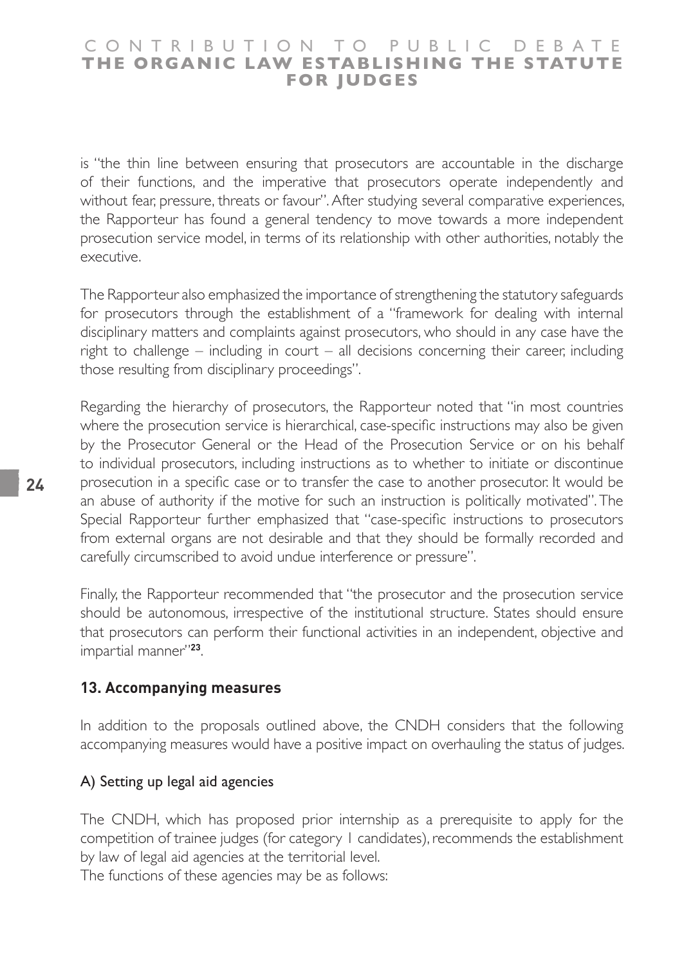is "the thin line between ensuring that prosecutors are accountable in the discharge of their functions, and the imperative that prosecutors operate independently and without fear, pressure, threats or favour". After studying several comparative experiences, the Rapporteur has found a general tendency to move towards a more independent prosecution service model, in terms of its relationship with other authorities, notably the executive.

The Rapporteur also emphasized the importance of strengthening the statutory safeguards for prosecutors through the establishment of a "framework for dealing with internal disciplinary matters and complaints against prosecutors, who should in any case have the right to challenge – including in court – all decisions concerning their career, including those resulting from disciplinary proceedings".

Regarding the hierarchy of prosecutors, the Rapporteur noted that "in most countries where the prosecution service is hierarchical, case-specific instructions may also be given by the Prosecutor General or the Head of the Prosecution Service or on his behalf to individual prosecutors, including instructions as to whether to initiate or discontinue prosecution in a specific case or to transfer the case to another prosecutor. It would be an abuse of authority if the motive for such an instruction is politically motivated". The Special Rapporteur further emphasized that "case-specific instructions to prosecutors from external organs are not desirable and that they should be formally recorded and carefully circumscribed to avoid undue interference or pressure".

Finally, the Rapporteur recommended that "the prosecutor and the prosecution service should be autonomous, irrespective of the institutional structure. States should ensure that prosecutors can perform their functional activities in an independent, objective and impartial manner"**<sup>23</sup>**.

#### **13. Accompanying measures**

In addition to the proposals outlined above, the CNDH considers that the following accompanying measures would have a positive impact on overhauling the status of judges.

#### A) Setting up legal aid agencies

The CNDH, which has proposed prior internship as a prerequisite to apply for the competition of trainee judges (for category 1 candidates), recommends the establishment by law of legal aid agencies at the territorial level.

The functions of these agencies may be as follows: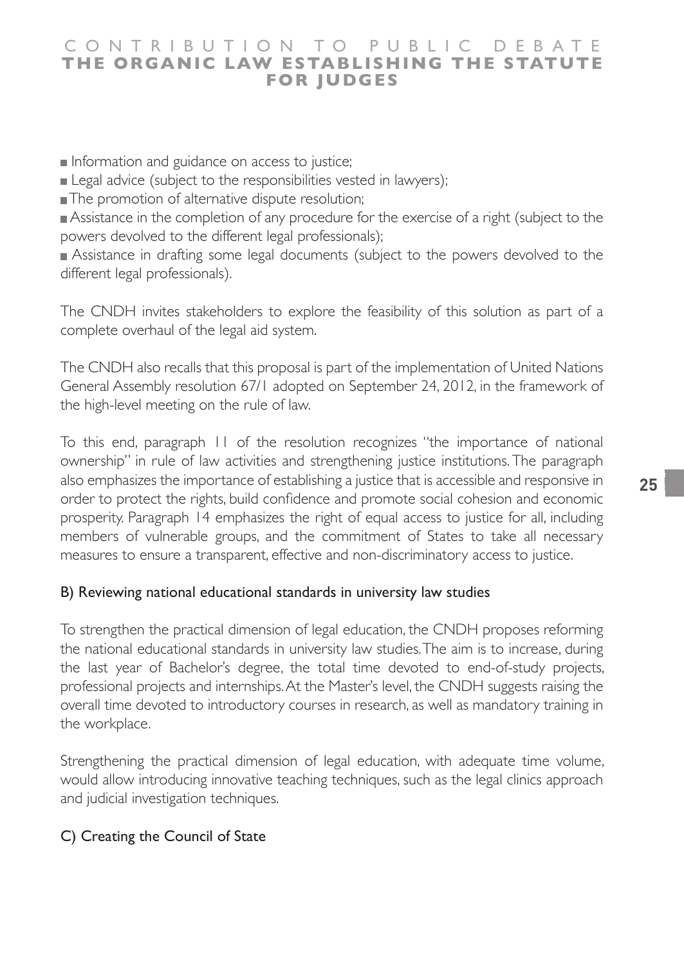Information and guidance on access to justice;

**Legal advice (subject to the responsibilities vested in lawyers);** 

The promotion of alternative dispute resolution;

 Assistance in the completion of any procedure for the exercise of a right (subject to the powers devolved to the different legal professionals);

 Assistance in drafting some legal documents (subject to the powers devolved to the different legal professionals).

The CNDH invites stakeholders to explore the feasibility of this solution as part of a complete overhaul of the legal aid system.

The CNDH also recalls that this proposal is part of the implementation of United Nations General Assembly resolution 67/1 adopted on September 24, 2012, in the framework of the high-level meeting on the rule of law.

To this end, paragraph 11 of the resolution recognizes "the importance of national ownership" in rule of law activities and strengthening justice institutions. The paragraph also emphasizes the importance of establishing a justice that is accessible and responsive in order to protect the rights, build confidence and promote social cohesion and economic prosperity. Paragraph 14 emphasizes the right of equal access to justice for all, including members of vulnerable groups, and the commitment of States to take all necessary measures to ensure a transparent, effective and non-discriminatory access to justice.

#### B) Reviewing national educational standards in university law studies

To strengthen the practical dimension of legal education, the CNDH proposes reforming the national educational standards in university law studies. The aim is to increase, during the last year of Bachelor's degree, the total time devoted to end-of-study projects, professional projects and internships. At the Master's level, the CNDH suggests raising the overall time devoted to introductory courses in research, as well as mandatory training in the workplace.

Strengthening the practical dimension of legal education, with adequate time volume, would allow introducing innovative teaching techniques, such as the legal clinics approach and judicial investigation techniques.

#### C) Creating the Council of State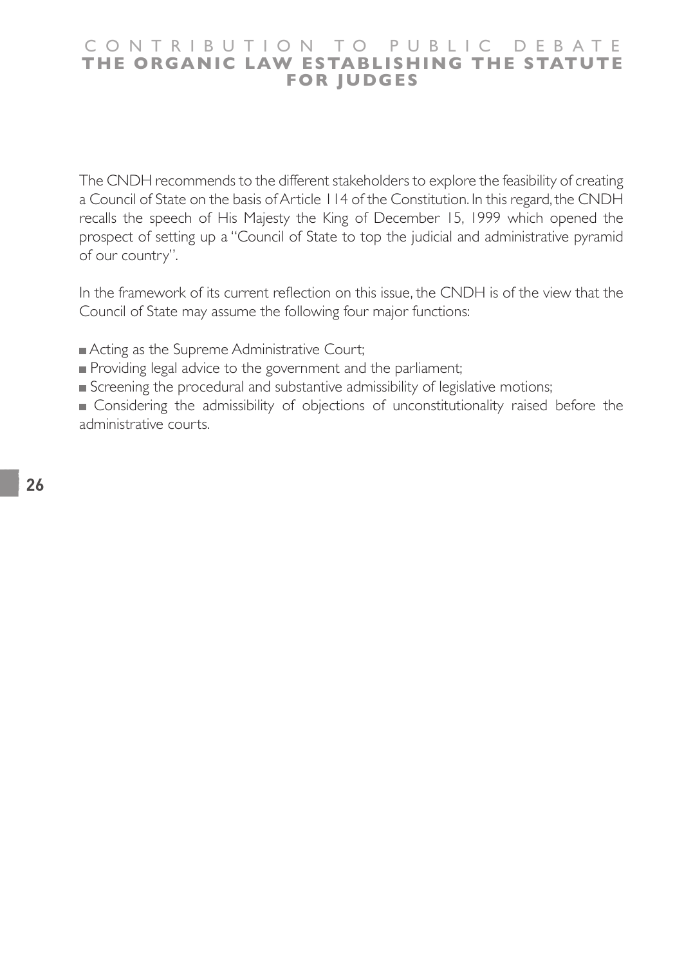The CNDH recommends to the different stakeholders to explore the feasibility of creating a Council of State on the basis of Article 114 of the Constitution. In this regard, the CNDH recalls the speech of His Majesty the King of December 15, 1999 which opened the prospect of setting up a "Council of State to top the judicial and administrative pyramid of our country".

In the framework of its current reflection on this issue, the CNDH is of the view that the Council of State may assume the following four major functions:

- Acting as the Supreme Administrative Court;
- **Providing legal advice to the government and the parliament;**
- Screening the procedural and substantive admissibility of legislative motions;
- Considering the admissibility of objections of unconstitutionality raised before the administrative courts.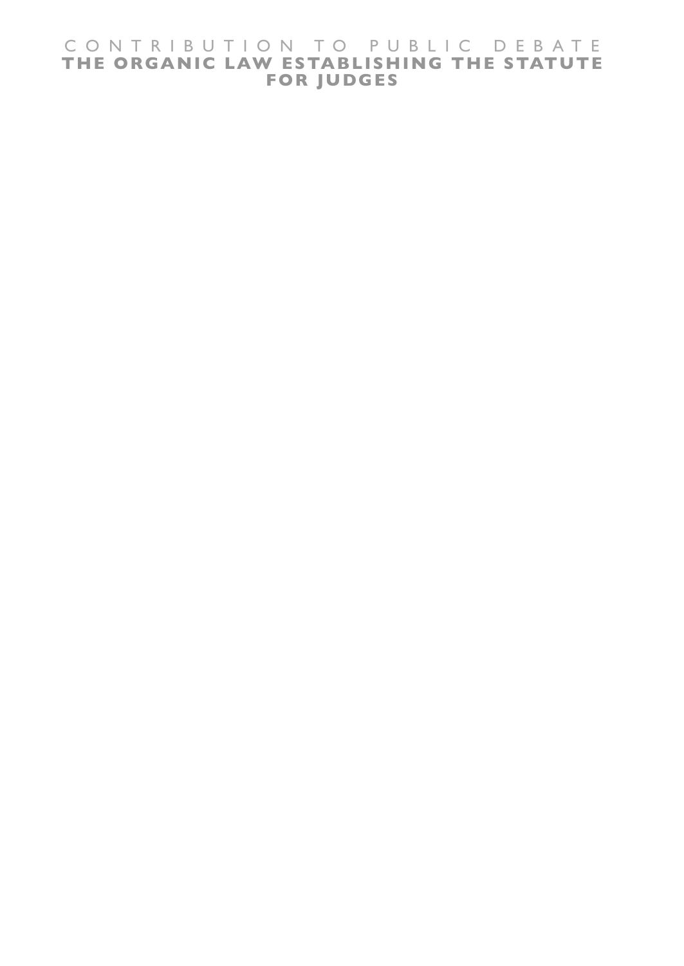## CONTRIBUTION TO PUBLIC DEBATE<br>THE ORGANIC LAW ESTABLISHING THE STATUTE **FOR JUDGES**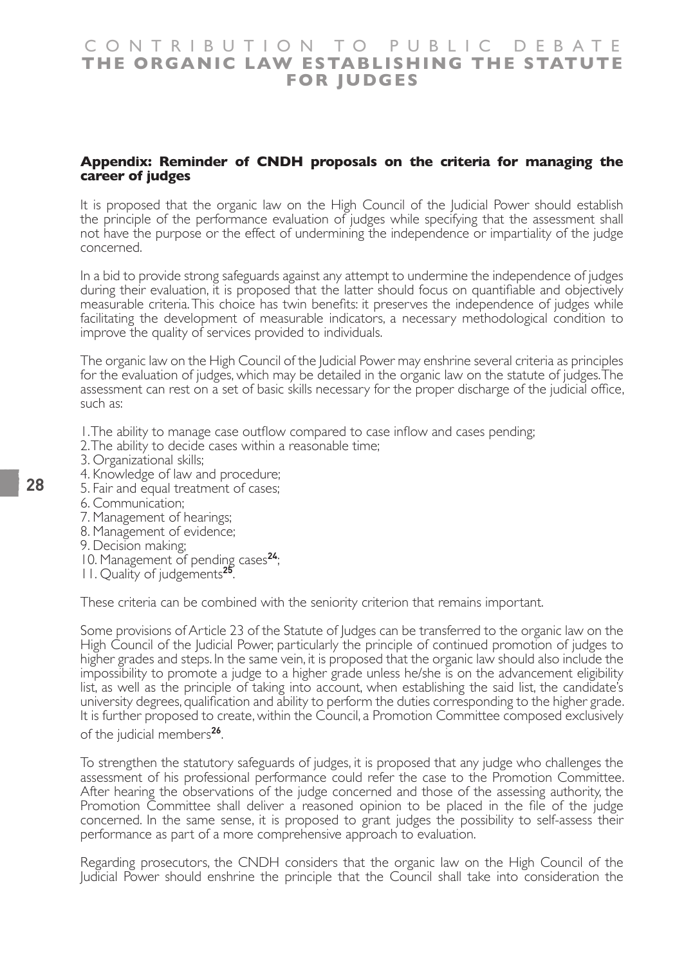#### **Appendix: Reminder of CNDH proposals on the criteria for managing the career of judges**

It is proposed that the organic law on the High Council of the Judicial Power should establish the principle of the performance evaluation of judges while specifying that the assessment shall not have the purpose or the effect of undermining the independence or impartiality of the judge concerned.

In a bid to provide strong safeguards against any attempt to undermine the independence of judges during their evaluation, it is proposed that the latter should focus on quantifiable and objectively measurable criteria. This choice has twin benefits: it preserves the independence of judges while facilitating the development of measurable indicators, a necessary methodological condition to improve the quality of services provided to individuals.

The organic law on the High Council of the Judicial Power may enshrine several criteria as principles for the evaluation of judges, which may be detailed in the organic law on the statute of judges. The assessment can rest on a set of basic skills necessary for the proper discharge of the judicial office, such as:

- 1. The ability to manage case outflow compared to case inflow and cases pending;
- 2. The ability to decide cases within a reasonable time;
- 3. Organizational skills;
- 4. Knowledge of law and procedure;
- 5. Fair and equal treatment of cases;
- 6. Communication;
- 7. Management of hearings;
- 8. Management of evidence;
- 9. Decision making;
- 10. Management of pending cases**<sup>24</sup>**;
- 11. Quality of judgements**<sup>25</sup>**.

These criteria can be combined with the seniority criterion that remains important.

Some provisions of Article 23 of the Statute of Judges can be transferred to the organic law on the High Council of the Judicial Power, particularly the principle of continued promotion of judges to higher grades and steps. In the same vein, it is proposed that the organic law should also include the impossibility to promote a judge to a higher grade unless he/she is on the advancement eligibility list, as well as the principle of taking into account, when establishing the said list, the candidate's university degrees, qualification and ability to perform the duties corresponding to the higher grade. It is further proposed to create, within the Council, a Promotion Committee composed exclusively of the judicial members**<sup>26</sup>**.

To strengthen the statutory safeguards of judges, it is proposed that any judge who challenges the assessment of his professional performance could refer the case to the Promotion Committee. After hearing the observations of the judge concerned and those of the assessing authority, the Promotion Committee shall deliver a reasoned opinion to be placed in the file of the judge concerned. In the same sense, it is proposed to grant judges the possibility to self-assess their performance as part of a more comprehensive approach to evaluation.

Regarding prosecutors, the CNDH considers that the organic law on the High Council of the Judicial Power should enshrine the principle that the Council shall take into consideration the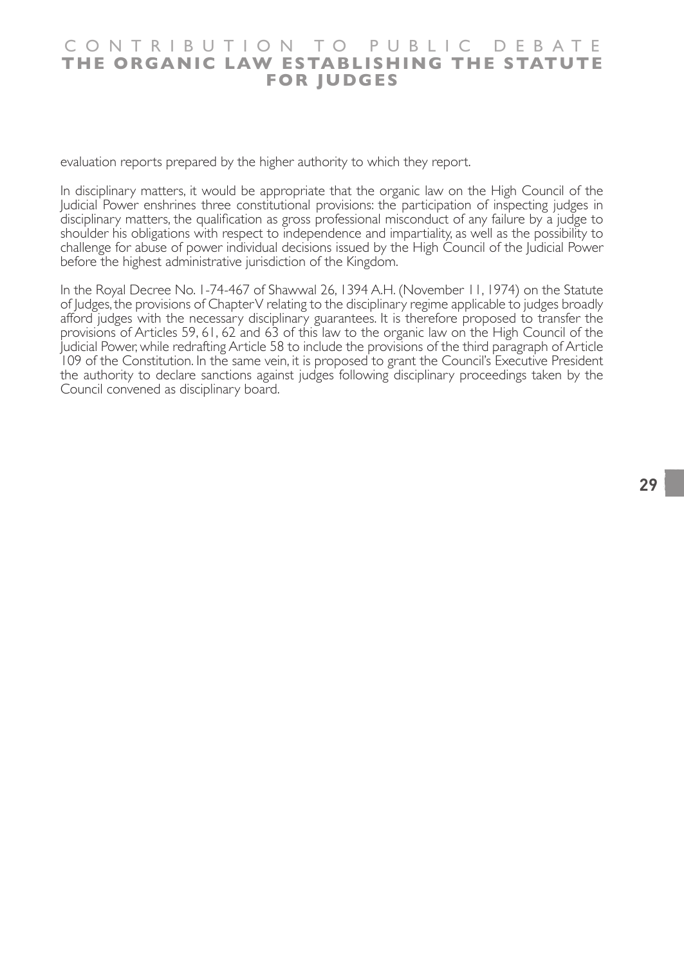evaluation reports prepared by the higher authority to which they report.

In disciplinary matters, it would be appropriate that the organic law on the High Council of the Judicial Power enshrines three constitutional provisions: the participation of inspecting judges in disciplinary matters, the qualification as gross professional misconduct of any failure by a judge to shoulder his obligations with respect to independence and impartiality, as well as the possibility to challenge for abuse of power individual decisions issued by the High Council of the Judicial Power before the highest administrative jurisdiction of the Kingdom.

In the Royal Decree No. 1-74-467 of Shawwal 26, 1394 A.H. (November 11, 1974) on the Statute of Judges, the provisions of Chapter V relating to the disciplinary regime applicable to judges broadly afford judges with the necessary disciplinary guarantees. It is therefore proposed to transfer the provisions of Articles 59, 61, 62 and 63 of this law to the organic law on the High Council of the Judicial Power, while redrafting Article 58 to include the provisions of the third paragraph of Article 109 of the Constitution. In the same vein, it is proposed to grant the Council's Executive President the authority to declare sanctions against judges following disciplinary proceedings taken by the Council convened as disciplinary board.

**29**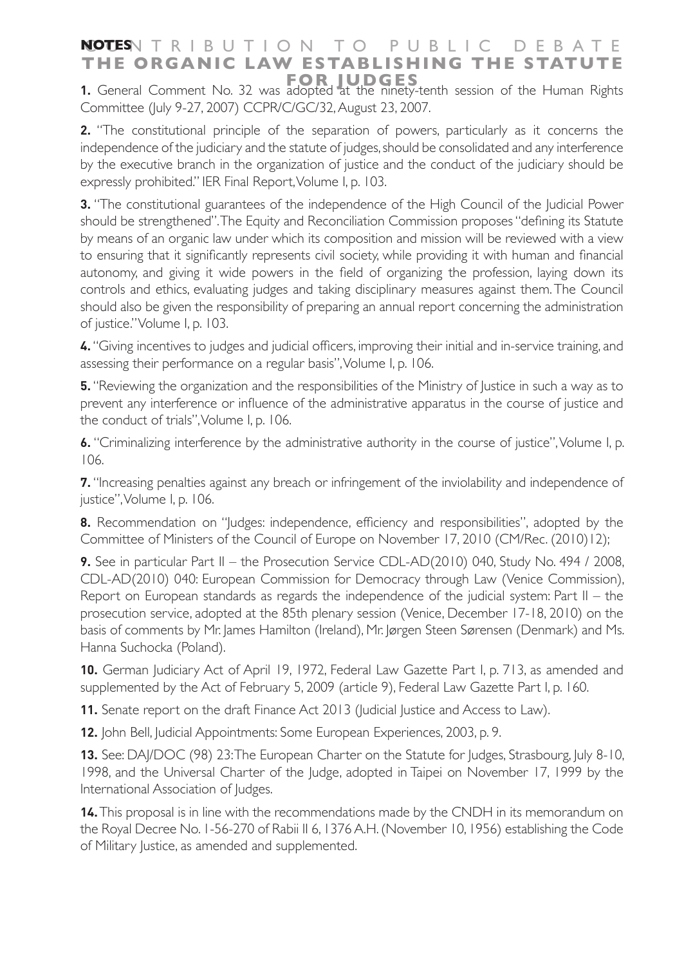### CONTRIBUTION to p ub l ic De b a t e **NOTES The Organic Law Establishing The Statute**

**1.** General Comment No. 32 was adopted at the ninety-tenth session of the Human Rights Committee (July 9-27, 2007) CCPR/C/GC/32, August 23, 2007.

**2.** "The constitutional principle of the separation of powers, particularly as it concerns the independence of the judiciary and the statute of judges, should be consolidated and any interference by the executive branch in the organization of justice and the conduct of the judiciary should be expressly prohibited." IER Final Report, Volume I, p. 103.

**3.** "The constitutional guarantees of the independence of the High Council of the Judicial Power should be strengthened". The Equity and Reconciliation Commission proposes "defining its Statute by means of an organic law under which its composition and mission will be reviewed with a view to ensuring that it significantly represents civil society, while providing it with human and financial autonomy, and giving it wide powers in the field of organizing the profession, laying down its controls and ethics, evaluating judges and taking disciplinary measures against them. The Council should also be given the responsibility of preparing an annual report concerning the administration of justice." Volume I, p. 103.

**4.** "Giving incentives to judges and judicial officers, improving their initial and in-service training, and assessing their performance on a regular basis", Volume I, p. 106.

**5.** "Reviewing the organization and the responsibilities of the Ministry of Justice in such a way as to prevent any interference or influence of the administrative apparatus in the course of justice and the conduct of trials", Volume I, p. 106.

**6.** "Criminalizing interference by the administrative authority in the course of justice", Volume I, p. 106.

**7.** "Increasing penalties against any breach or infringement of the inviolability and independence of justice", Volume I, p. 106.

**8.** Recommendation on "Judges: independence, efficiency and responsibilities", adopted by the Committee of Ministers of the Council of Europe on November 17, 2010 (CM/Rec. (2010)12);

**9.** See in particular Part II – the Prosecution Service CDL-AD(2010) 040, Study No. 494 / 2008, CDL-AD(2010) 040: European Commission for Democracy through Law (Venice Commission), Report on European standards as regards the independence of the judicial system: Part  $II -$  the prosecution service, adopted at the 85th plenary session (Venice, December 17-18, 2010) on the basis of comments by Mr. James Hamilton (Ireland), Mr. Jørgen Steen Sørensen (Denmark) and Ms. Hanna Suchocka (Poland).

**10.** German Judiciary Act of April 19, 1972, Federal Law Gazette Part I, p. 713, as amended and supplemented by the Act of February 5, 2009 (article 9), Federal Law Gazette Part I, p. 160.

11. Senate report on the draft Finance Act 2013 (Judicial Justice and Access to Law).

**12.** John Bell, Judicial Appointments: Some European Experiences, 2003, p. 9.

**13.** See: DAJ/DOC (98) 23: The European Charter on the Statute for Judges, Strasbourg, July 8-10, 1998, and the Universal Charter of the Judge, adopted in Taipei on November 17, 1999 by the International Association of Judges.

**14.** This proposal is in line with the recommendations made by the CNDH in its memorandum on the Royal Decree No. 1-56-270 of Rabii II 6, 1376 A.H. (November 10, 1956) establishing the Code of Military Justice, as amended and supplemented.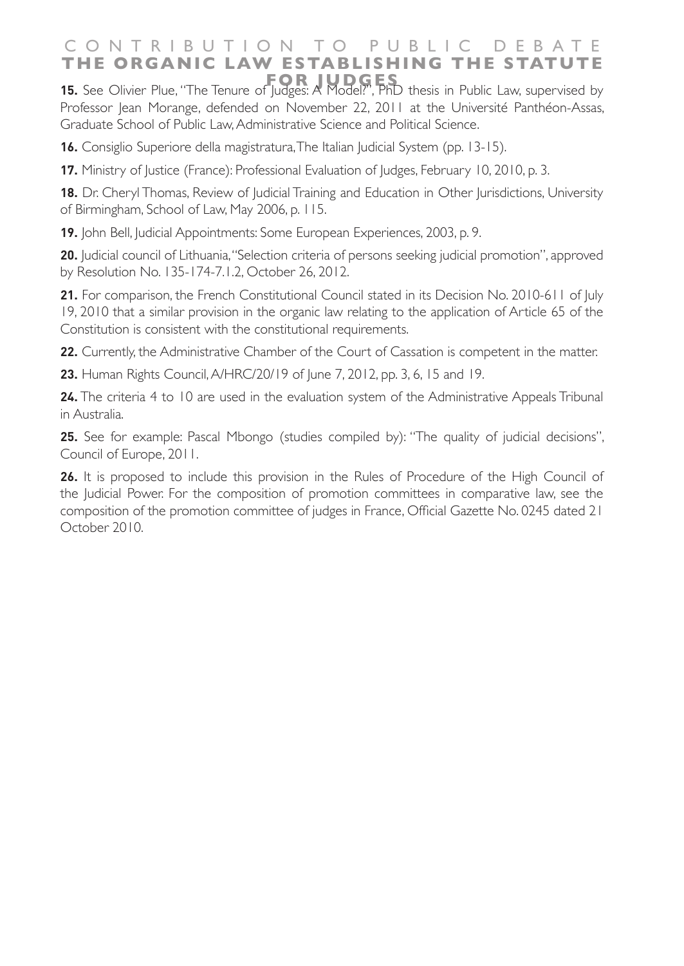**for Judges 15.** See Olivier Plue, "The Tenure of Judges: A Model?", PhD thesis in Public Law, supervised by Professor Jean Morange, defended on November 22, 2011 at the Université Panthéon-Assas, Graduate School of Public Law, Administrative Science and Political Science.

**16.** Consiglio Superiore della magistratura, The Italian Judicial System (pp. 13-15).

**17.** Ministry of Justice (France): Professional Evaluation of Judges, February 10, 2010, p. 3.

**18.** Dr. Cheryl Thomas, Review of Judicial Training and Education in Other Jurisdictions, University of Birmingham, School of Law, May 2006, p. 115.

**19.** John Bell, Judicial Appointments: Some European Experiences, 2003, p. 9.

**20.** Judicial council of Lithuania, "Selection criteria of persons seeking judicial promotion", approved by Resolution No. 135-174-7.1.2, October 26, 2012.

**21.** For comparison, the French Constitutional Council stated in its Decision No. 2010-611 of July 19, 2010 that a similar provision in the organic law relating to the application of Article 65 of the Constitution is consistent with the constitutional requirements.

**22.** Currently, the Administrative Chamber of the Court of Cassation is competent in the matter.

**23.** Human Rights Council, A/HRC/20/19 of June 7, 2012, pp. 3, 6, 15 and 19.

**24.** The criteria 4 to 10 are used in the evaluation system of the Administrative Appeals Tribunal in Australia.

**25.** See for example: Pascal Mbongo (studies compiled by): "The quality of judicial decisions", Council of Europe, 2011.

**26.** It is proposed to include this provision in the Rules of Procedure of the High Council of the Judicial Power. For the composition of promotion committees in comparative law, see the composition of the promotion committee of judges in France, Official Gazette No. 0245 dated 21 October 2010.